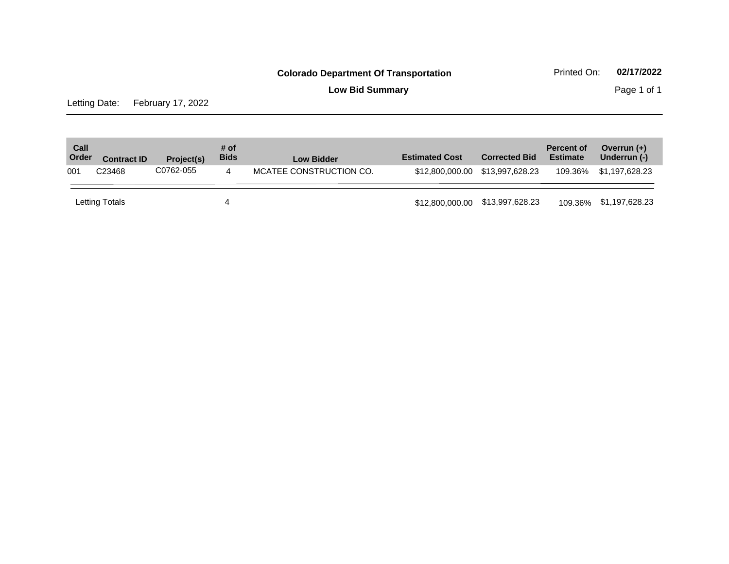**Low Bid Summary Page 1 of 1** 

Letting Date: February 17, 2022

| Call<br>Order | <b>Contract ID</b> | Project(s) | # of<br><b>Bids</b> | <b>Low Bidder</b>       | <b>Estimated Cost</b>           | <b>Corrected Bid</b> | <b>Percent of</b><br><b>Estimate</b> | Overrun $(+)$<br>Underrun (-) |
|---------------|--------------------|------------|---------------------|-------------------------|---------------------------------|----------------------|--------------------------------------|-------------------------------|
| 001           | C <sub>23468</sub> | C0762-055  | 4                   | MCATEE CONSTRUCTION CO. | \$12,800,000.00 \$13,997,628.23 |                      | 109.36%                              | \$1,197,628.23                |
|               | Letting Totals     |            | 4                   |                         | \$12,800,000.00 \$13,997,628.23 |                      |                                      | 109.36% \$1,197,628.23        |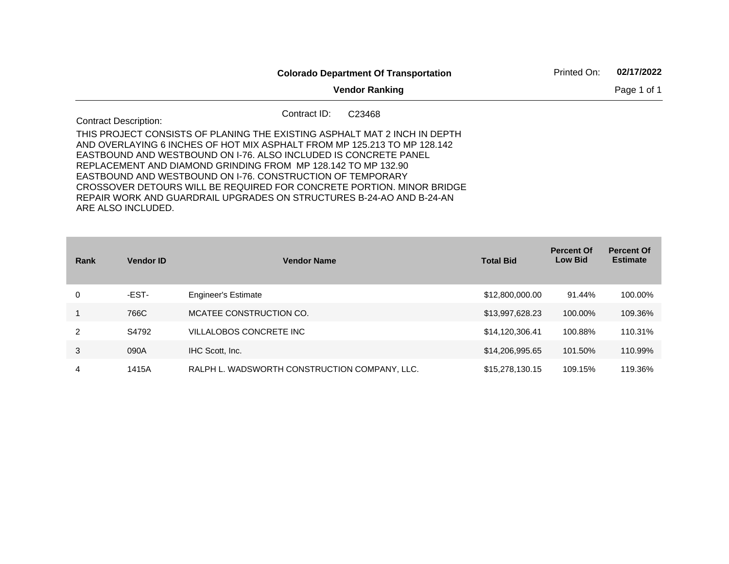|                                                                                                                                                                                                                                                                                                                                                                                                                                                                                                                                 |                       |  | <b>Colorado Department Of Transportation</b> |  | Printed On: | 02/17/2022  |
|---------------------------------------------------------------------------------------------------------------------------------------------------------------------------------------------------------------------------------------------------------------------------------------------------------------------------------------------------------------------------------------------------------------------------------------------------------------------------------------------------------------------------------|-----------------------|--|----------------------------------------------|--|-------------|-------------|
|                                                                                                                                                                                                                                                                                                                                                                                                                                                                                                                                 | <b>Vendor Ranking</b> |  |                                              |  |             | Page 1 of 1 |
| Contract ID:<br><b>Contract Description:</b>                                                                                                                                                                                                                                                                                                                                                                                                                                                                                    |                       |  | C <sub>23468</sub>                           |  |             |             |
| THIS PROJECT CONSISTS OF PLANING THE EXISTING ASPHALT MAT 2 INCH IN DEPTH<br>AND OVERLAYING 6 INCHES OF HOT MIX ASPHALT FROM MP 125.213 TO MP 128.142<br>EASTBOUND AND WESTBOUND ON 1-76. ALSO INCLUDED IS CONCRETE PANEL<br>REPLACEMENT AND DIAMOND GRINDING FROM MP 128.142 TO MP 132.90<br>EASTBOUND AND WESTBOUND ON 1-76, CONSTRUCTION OF TEMPORARY<br>CROSSOVER DETOURS WILL BE REQUIRED FOR CONCRETE PORTION. MINOR BRIDGE<br>REPAIR WORK AND GUARDRAIL UPGRADES ON STRUCTURES B-24-AO AND B-24-AN<br>ARE ALSO INCLUDED. |                       |  |                                              |  |             |             |

| Rank | <b>Vendor ID</b> | <b>Vendor Name</b>                            | <b>Total Bid</b> | <b>Percent Of</b><br><b>Low Bid</b> | <b>Percent Of</b><br><b>Estimate</b> |
|------|------------------|-----------------------------------------------|------------------|-------------------------------------|--------------------------------------|
| 0    | -EST-            | <b>Engineer's Estimate</b>                    | \$12,800,000.00  | 91.44%                              | 100.00%                              |
|      | 766C             | MCATEE CONSTRUCTION CO.                       | \$13,997,628.23  | 100.00%                             | 109.36%                              |
| 2    | S4792            | VILLALOBOS CONCRETE INC                       | \$14,120,306.41  | 100.88%                             | 110.31%                              |
| 3    | 090A             | IHC Scott, Inc.                               | \$14,206,995.65  | 101.50%                             | 110.99%                              |
| 4    | 1415A            | RALPH L. WADSWORTH CONSTRUCTION COMPANY, LLC. | \$15,278,130.15  | 109.15%                             | 119.36%                              |

**Contract Contract Contract**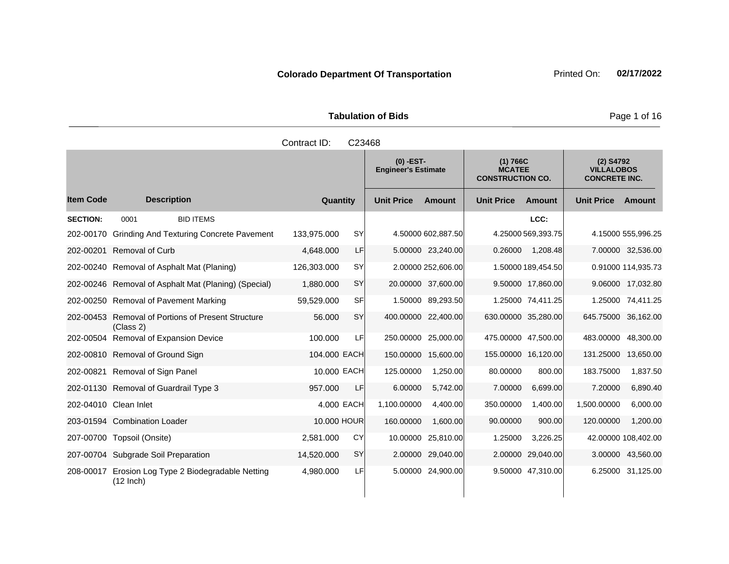| <b>Tabulation of Bids</b> |  |  |  |  |  |  |  |
|---------------------------|--|--|--|--|--|--|--|
| Contract ID: C23468       |  |  |  |  |  |  |  |

|                  |                                                              |              |           | $(0)$ -EST-<br><b>Engineer's Estimate</b> |                     | (1) 766C<br><b>MCATEE</b><br><b>CONSTRUCTION CO.</b> |                     | (2) S4792<br><b>VILLALOBOS</b><br><b>CONCRETE INC.</b> |                     |
|------------------|--------------------------------------------------------------|--------------|-----------|-------------------------------------------|---------------------|------------------------------------------------------|---------------------|--------------------------------------------------------|---------------------|
| <b>Item Code</b> | <b>Description</b>                                           | Quantity     |           | <b>Unit Price</b>                         | <b>Amount</b>       | <b>Unit Price</b>                                    | Amount              | <b>Unit Price</b>                                      | Amount              |
| <b>SECTION:</b>  | 0001<br><b>BID ITEMS</b>                                     |              |           |                                           |                     |                                                      | LCC:                |                                                        |                     |
| 202-00170        | <b>Grinding And Texturing Concrete Pavement</b>              | 133.975.000  | <b>SY</b> |                                           | 4.50000 602,887.50  |                                                      | 4.25000 569,393.75  |                                                        | 4.15000 555,996.25  |
|                  | 202-00201 Removal of Curb                                    | 4,648.000    | LF        |                                           | 5.00000 23,240.00   | 0.26000                                              | 1,208.48            |                                                        | 7.00000 32,536.00   |
| 202-00240        | Removal of Asphalt Mat (Planing)                             | 126,303.000  | <b>SY</b> |                                           | 2.00000 252,606.00  |                                                      | 1.50000 189,454.50  |                                                        | 0.91000 114,935.73  |
|                  | 202-00246 Removal of Asphalt Mat (Planing) (Special)         | 1,880.000    | <b>SY</b> |                                           | 20.00000 37,600.00  |                                                      | 9.50000 17,860.00   |                                                        | 9.06000 17,032.80   |
|                  | 202-00250 Removal of Pavement Marking                        | 59,529.000   | SFI       |                                           | 1.50000 89,293.50   |                                                      | 1.25000 74,411.25   |                                                        | 1.25000 74,411.25   |
| 202-00453        | <b>Removal of Portions of Present Structure</b><br>(Class 2) | 56.000       | SY        |                                           | 400.00000 22,400.00 | 630.00000 35,280.00                                  |                     | 645.75000 36,162.00                                    |                     |
|                  | 202-00504 Removal of Expansion Device                        | 100.000      | LF        | 250.00000                                 | 25,000.00           | 475.00000 47,500.00                                  |                     | 483.00000                                              | 48,300.00           |
|                  | 202-00810 Removal of Ground Sign                             | 104.000 EACH |           | 150.00000                                 | 15,600.00           |                                                      | 155.00000 16,120.00 | 131.25000                                              | 13,650.00           |
|                  | 202-00821 Removal of Sign Panel                              | 10.000 EACH  |           | 125.00000                                 | 1,250.00            | 80.00000                                             | 800.00              | 183.75000                                              | 1,837.50            |
|                  | 202-01130 Removal of Guardrail Type 3                        | 957.000      | LF        | 6.00000                                   | 5,742.00            | 7.00000                                              | 6,699.00            | 7.20000                                                | 6,890.40            |
|                  | 202-04010 Clean Inlet                                        | 4.000 EACH   |           | 1,100.00000                               | 4.400.00            | 350.00000                                            | 1,400.00            | 1,500.00000                                            | 6.000.00            |
|                  | 203-01594 Combination Loader                                 | 10.000 HOUR  |           | 160.00000                                 | 1.600.00            | 90.00000                                             | 900.00              | 120.00000                                              | 1,200.00            |
| 207-00700        | Topsoil (Onsite)                                             | 2,581.000    | CY        | 10.00000                                  | 25,810.00           | 1.25000                                              | 3,226.25            |                                                        | 42.00000 108,402.00 |
|                  | 207-00704 Subgrade Soil Preparation                          | 14,520.000   | <b>SY</b> | 2.00000                                   | 29,040.00           |                                                      | 2.00000 29,040.00   |                                                        | 3.00000 43,560.00   |
| 208-00017        | Erosion Log Type 2 Biodegradable Netting<br>$(12$ lnch)      | 4,980.000    | LF        |                                           | 5.00000 24,900.00   |                                                      | 9.50000 47,310.00   |                                                        | 6.25000 31,125.00   |

**Page 1 of 16**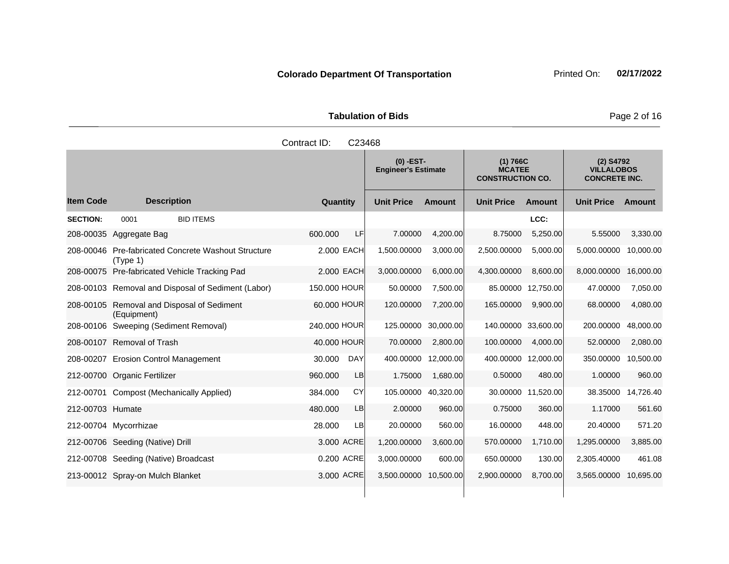**Tabulation of Bids** Page 2 of 16

|                  | Contract ID:<br>C <sub>23468</sub> |                                                  |              |            |                                           |          |                                                      |                                                        |                   |           |  |
|------------------|------------------------------------|--------------------------------------------------|--------------|------------|-------------------------------------------|----------|------------------------------------------------------|--------------------------------------------------------|-------------------|-----------|--|
|                  |                                    |                                                  |              |            | $(0)$ -EST-<br><b>Engineer's Estimate</b> |          | (1) 766C<br><b>MCATEE</b><br><b>CONSTRUCTION CO.</b> | (2) S4792<br><b>VILLALOBOS</b><br><b>CONCRETE INC.</b> |                   |           |  |
| <b>Item Code</b> |                                    | <b>Description</b>                               | Quantity     |            | <b>Unit Price</b>                         | Amount   | <b>Unit Price</b>                                    | Amount                                                 | <b>Unit Price</b> | Amount    |  |
| <b>SECTION:</b>  | 0001                               | <b>BID ITEMS</b>                                 |              |            |                                           |          |                                                      | LCC:                                                   |                   |           |  |
| 208-00035        | Aggregate Bag                      |                                                  | 600,000      | LFI        | 7.00000                                   | 4.200.00 | 8.75000                                              | 5,250.00                                               | 5.55000           | 3,330.00  |  |
| 208-00046        | (Type 1)                           | <b>Pre-fabricated Concrete Washout Structure</b> |              | 2.000 EACH | 1.500.00000                               | 3.000.00 | 2.500.00000                                          | 5.000.00                                               | 5.000.00000       | 10,000.00 |  |
| 208-00075        |                                    | Pre-fabricated Vehicle Tracking Pad              |              | 2,000 EACH | 3,000.00000                               | 6.000.00 | 4,300.00000                                          | 8,600.00                                               | 8,000.00000       | 16,000.00 |  |
| 208-00103        |                                    | Removal and Disposal of Sediment (Labor)         | 150,000 HOUR |            | 50.00000                                  | 7.500.00 | 85.00000                                             | 12.750.00                                              | 47.00000          | 7,050.00  |  |
| $\cdots$         |                                    |                                                  | $\cdots$     |            | $\cdots$                                  | - --- -- |                                                      | $1 - 2 - 3 - 5 - 1$                                    |                   |           |  |

# 208-00105 Removal and Disposal of Sediment (Equipment) 60.000 HOUR 120.00000 7,200.00 165.00000 9,900.00 68.00000 4,080.00 208-00106 Sweeping (Sediment Removal) 240.000 HOUR 125.00000 30,000.00 140.00000 33,600.00 200.00000 48,000.00 208-00107 Removal of Trash 40.000 HOUR 70.00000 2,800.00 100.00000 4,000.00 52.00000 2,080.00 208-00207 Erosion Control Management 30.000 DAY 400.00000 12,000.00 400.00000 12,000.00 350.00000 10,500.00 212-00700 Organic Fertilizer 960.000 LB 1.75000 1,680.00 0.50000 480.00 1.00000 960.00 212-00701 Compost (Mechanically Applied) 384.000 CY 105.00000 40,320.00 30.00000 11,520.00 38.35000 14,726.40 212-00703 Humate 480.000 LB 2.00000 960.00 0.75000 360.00 1.17000 561.60 212-00704 Mycorrhizae 28.000 LB 20.00000 560.00 16.00000 448.00 20.40000 571.20 212-00706 Seeding (Native) Drill 3.000 ACRE 1,200.00000 3,600.00 570.00000 1,710.00 1,295.00000 3,885.00 212-00708 Seeding (Native) Broadcast 0.200 ACRE 3,000.00000 600.00 650.00000 130.00 2,305.40000 461.08

213-00012 Spray-on Mulch Blanket 3.000 ACRE 3,500.00000 10,500.00 2,900.00000 8,700.00 3,565.00000 10,695.00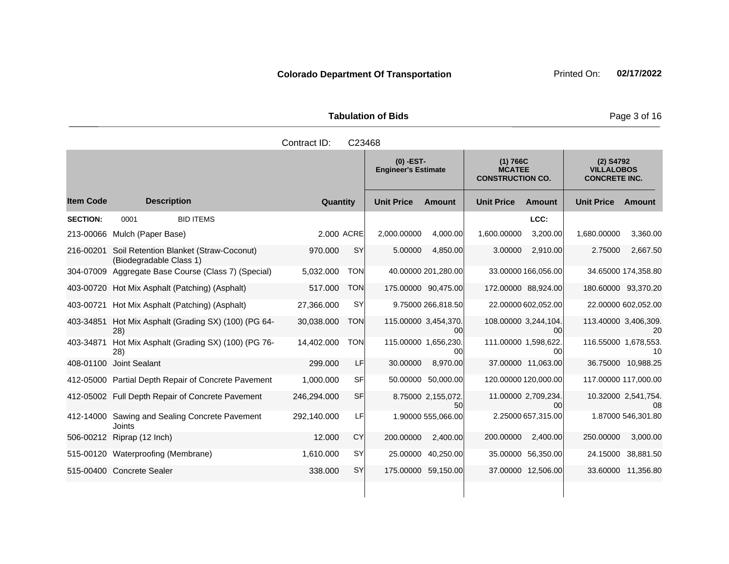Tabulation of Bids **Page 3 of 16** 

|                  |                                                                   | Contract ID: | C23468     |                                           |                            |                                                      |                                        |                                                          |                            |
|------------------|-------------------------------------------------------------------|--------------|------------|-------------------------------------------|----------------------------|------------------------------------------------------|----------------------------------------|----------------------------------------------------------|----------------------------|
|                  |                                                                   |              |            | $(0)$ -EST-<br><b>Engineer's Estimate</b> |                            | (1) 766C<br><b>MCATEE</b><br><b>CONSTRUCTION CO.</b> |                                        | $(2)$ S4792<br><b>VILLALOBOS</b><br><b>CONCRETE INC.</b> |                            |
| <b>Item Code</b> | <b>Description</b>                                                | Quantity     |            | <b>Unit Price</b>                         | <b>Amount</b>              | <b>Unit Price</b>                                    | <b>Amount</b>                          | <b>Unit Price</b>                                        | Amount                     |
| <b>SECTION:</b>  | 0001<br><b>BID ITEMS</b>                                          |              |            |                                           |                            |                                                      | LCC:                                   |                                                          |                            |
| 213-00066        | Mulch (Paper Base)                                                | 2,000 ACRE   |            | 2,000.00000                               | 4,000.00                   | 1,600.00000                                          | 3,200.00                               | 1,680.00000                                              | 3,360.00                   |
| 216-00201        | Soil Retention Blanket (Straw-Coconut)<br>(Biodegradable Class 1) | 970.000      | <b>SY</b>  | 5.00000                                   | 4,850.00                   | 3.00000                                              | 2,910.00                               | 2.75000                                                  | 2,667.50                   |
|                  | 304-07009 Aggregate Base Course (Class 7) (Special)               | 5,032.000    | <b>TON</b> |                                           | 40.00000 201,280.00        |                                                      | 33.00000 166,056.00                    |                                                          | 34.65000 174,358.80        |
|                  | 403-00720 Hot Mix Asphalt (Patching) (Asphalt)                    | 517.000      | <b>TON</b> |                                           | 175.00000 90,475.00        | 172.00000 88,924.00                                  |                                        |                                                          | 180.60000 93,370.20        |
| 403-00721        | Hot Mix Asphalt (Patching) (Asphalt)                              | 27,366.000   | SY         |                                           | 9.75000 266,818.50         |                                                      | 22.00000 602,052.00                    |                                                          | 22.00000 602,052.00        |
| 403-34851        | Hot Mix Asphalt (Grading SX) (100) (PG 64-<br>28)                 | 30,038.000   | <b>TON</b> |                                           | 115.00000 3,454,370.<br>00 | 108.00000 3,244,104.                                 | 00                                     |                                                          | 113.40000 3,406,309.<br>20 |
| 403-34871        | Hot Mix Asphalt (Grading SX) (100) (PG 76-<br>28)                 | 14,402.000   | <b>TON</b> |                                           | 115.00000 1,656,230.<br>00 | 111.00000 1,598,622.                                 | 00                                     | 116.55000 1,678,553.                                     | 10                         |
|                  | 408-01100 Joint Sealant                                           | 299.000      | LF         | 30.00000                                  | 8,970.00                   |                                                      | 37.00000 11,063.00                     |                                                          | 36.75000 10,988.25         |
|                  | 412-05000 Partial Depth Repair of Concrete Pavement               | 1,000.000    | <b>SF</b>  | 50.00000                                  | 50,000.00                  |                                                      | 120.00000 120,000.00                   |                                                          | 117.00000 117,000.00       |
|                  | 412-05002 Full Depth Repair of Concrete Pavement                  | 246,294.000  | <b>SF</b>  |                                           | 8.75000 2,155,072.<br>50   |                                                      | 11.00000 2.709,234.<br>00 <sup>1</sup> |                                                          | 10.32000 2,541,754.<br>08  |
|                  | 412-14000 Sawing and Sealing Concrete Pavement<br>Joints          | 292,140.000  | LF         |                                           | 1.90000 555,066.00         |                                                      | 2.25000 657,315.00                     |                                                          | 1.87000 546,301.80         |
| 506-00212        | Riprap (12 Inch)                                                  | 12,000       | <b>CY</b>  | 200.00000                                 | 2,400.00                   | 200.00000                                            | 2,400.00                               | 250.00000                                                | 3,000.00                   |
|                  | 515-00120 Waterproofing (Membrane)                                | 1,610.000    | <b>SY</b>  | 25.00000                                  | 40,250.00                  |                                                      | 35.00000 56,350.00                     | 24.15000                                                 | 38,881.50                  |
|                  | 515-00400 Concrete Sealer                                         | 338.000      | SY         |                                           | 175.00000 59,150.00        |                                                      | 37.00000 12,506.00                     |                                                          | 33.60000 11,356.80         |
|                  |                                                                   |              |            |                                           |                            |                                                      |                                        |                                                          |                            |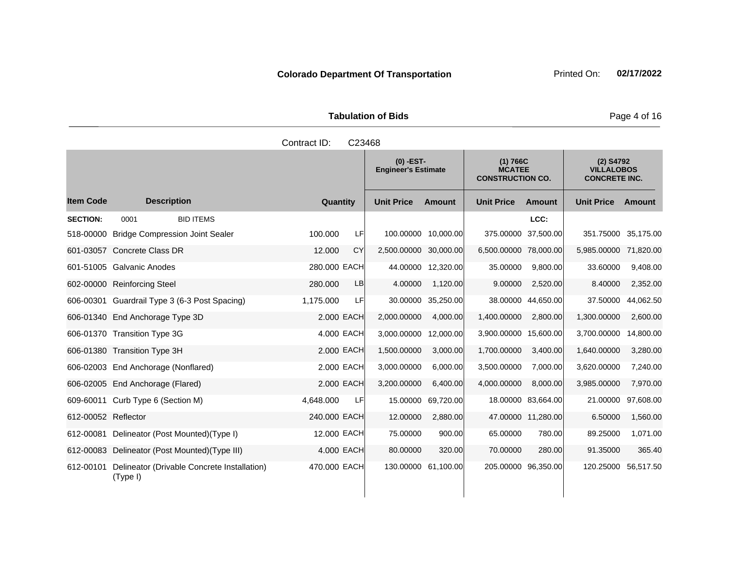| <b>Tabulation of Bids</b> |                     |  |  |  |  |  |  |  |
|---------------------------|---------------------|--|--|--|--|--|--|--|
|                           | Contract ID: C23468 |  |  |  |  |  |  |  |

|                     |                                                         |                  | $(0)$ -EST-<br><b>Engineer's Estimate</b> |                    | (1) 766C<br><b>MCATEE</b><br><b>CONSTRUCTION CO.</b> |                     | (2) S4792<br><b>VILLALOBOS</b><br><b>CONCRETE INC.</b> |           |
|---------------------|---------------------------------------------------------|------------------|-------------------------------------------|--------------------|------------------------------------------------------|---------------------|--------------------------------------------------------|-----------|
| <b>Item Code</b>    | <b>Description</b>                                      | Quantity         | <b>Unit Price</b>                         | Amount             | <b>Unit Price</b>                                    | Amount              | <b>Unit Price</b>                                      | Amount    |
| <b>SECTION:</b>     | <b>BID ITEMS</b><br>0001                                |                  |                                           |                    |                                                      | LCC:                |                                                        |           |
| 518-00000           | <b>Bridge Compression Joint Sealer</b>                  | 100.000<br>LF.   | 100.00000 10,000.00                       |                    |                                                      | 375.00000 37,500.00 | 351.75000 35,175.00                                    |           |
|                     | 601-03057 Concrete Class DR                             | CY<br>12.000     | 2,500.00000 30,000.00                     |                    | 6,500.00000 78,000.00                                |                     | 5,985.00000 71,820.00                                  |           |
|                     | 601-51005 Galvanic Anodes                               | 280.000 EACH     |                                           | 44.00000 12,320.00 | 35.00000                                             | 9,800.00            | 33.60000                                               | 9,408.00  |
|                     | 602-00000 Reinforcing Steel                             | 280,000<br>LB    | 4.00000                                   | 1,120.00           | 9.00000                                              | 2,520.00            | 8.40000                                                | 2,352.00  |
|                     | 606-00301 Guardrail Type 3 (6-3 Post Spacing)           | 1,175.000<br>LFI | 30.00000                                  | 35,250.00          |                                                      | 38.00000 44,650.00  | 37.50000                                               | 44,062.50 |
|                     | 606-01340 End Anchorage Type 3D                         | 2.000 EACH       | 2,000.00000                               | 4,000.00           | 1,400.00000                                          | 2,800.00            | 1,300.00000                                            | 2,600.00  |
|                     | 606-01370 Transition Type 3G                            | 4,000 EACH       | 3,000.00000                               | 12,000.00          | 3,900,00000                                          | 15,600.00           | 3,700.00000                                            | 14,800.00 |
|                     | 606-01380 Transition Type 3H                            | 2.000 EACH       | 1,500.00000                               | 3,000.00           | 1,700.00000                                          | 3,400.00            | 1,640.00000                                            | 3,280.00  |
|                     | 606-02003 End Anchorage (Nonflared)                     | 2.000 EACH       | 3,000.00000                               | 6,000.00           | 3,500.00000                                          | 7,000.00            | 3,620.00000                                            | 7,240.00  |
|                     | 606-02005 End Anchorage (Flared)                        | 2.000 EACH       | 3,200.00000                               | 6,400.00           | 4,000.00000                                          | 8.000.00            | 3,985.00000                                            | 7,970.00  |
|                     | 609-60011 Curb Type 6 (Section M)                       | 4,648.000<br>LFI | 15.00000                                  | 69,720.00          |                                                      | 18.00000 83,664.00  | 21.00000                                               | 97,608.00 |
| 612-00052 Reflector |                                                         | 240.000 EACH     | 12.00000                                  | 2,880.00           |                                                      | 47.00000 11,280.00  | 6.50000                                                | 1,560.00  |
| 612-00081           | Delineator (Post Mounted)(Type I)                       | 12.000 EACH      | 75.00000                                  | 900.00             | 65.00000                                             | 780.00              | 89.25000                                               | 1,071.00  |
|                     | 612-00083 Delineator (Post Mounted) (Type III)          | 4,000 EACH       | 80.00000                                  | 320.00             | 70.00000                                             | 280.00              | 91.35000                                               | 365.40    |
| 612-00101           | Delineator (Drivable Concrete Installation)<br>(Type I) | 470.000 EACH     | 130.00000 61,100.00                       |                    | 205.00000 96,350.00                                  |                     | 120.25000 56,517.50                                    |           |

**Page 4 of 16**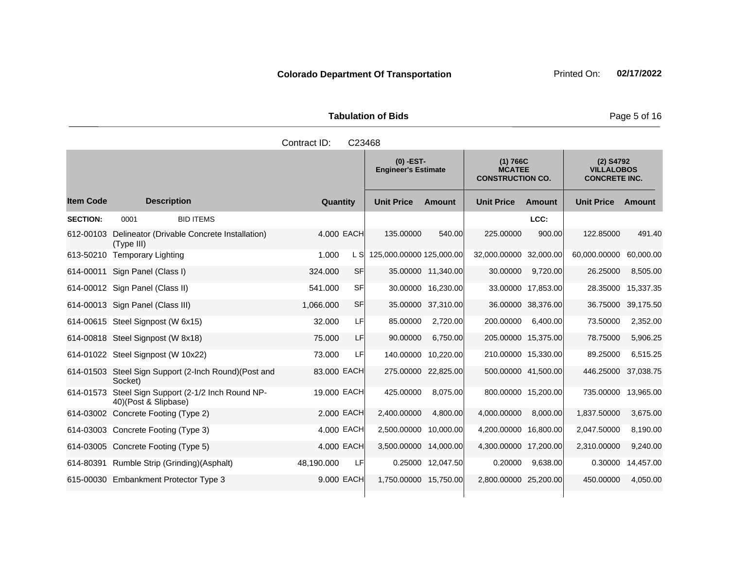Tabulation of Bids **Page 5 of 16** 

|                  |                                                                  | Contract ID: | C23468     |                          |                                           |                        |                                                      |                                                          |           |
|------------------|------------------------------------------------------------------|--------------|------------|--------------------------|-------------------------------------------|------------------------|------------------------------------------------------|----------------------------------------------------------|-----------|
|                  |                                                                  |              |            |                          | $(0)$ -EST-<br><b>Engineer's Estimate</b> |                        | (1) 766C<br><b>MCATEE</b><br><b>CONSTRUCTION CO.</b> | $(2)$ S4792<br><b>VILLALOBOS</b><br><b>CONCRETE INC.</b> |           |
| <b>Item Code</b> | <b>Description</b>                                               | Quantity     |            | <b>Unit Price</b>        | <b>Amount</b>                             | <b>Unit Price</b>      | Amount                                               | <b>Unit Price Amount</b>                                 |           |
| <b>SECTION:</b>  | <b>BID ITEMS</b><br>0001                                         |              |            |                          |                                           |                        | LCC:                                                 |                                                          |           |
| 612-00103        | Delineator (Drivable Concrete Installation)<br>(Type III)        |              | 4.000 EACH | 135.00000                | 540.00                                    | 225.00000              | 900.00                                               | 122.85000                                                | 491.40    |
| 613-50210        | <b>Temporary Lighting</b>                                        | 1.000        | L SI       | 125,000.00000 125,000.00 |                                           | 32,000.00000 32,000.00 |                                                      | 60,000.00000                                             | 60,000.00 |
| 614-00011        | Sign Panel (Class I)                                             | 324.000      | SFI        |                          | 35.00000 11,340.00                        | 30.00000               | 9,720.00                                             | 26.25000                                                 | 8,505.00  |
|                  | 614-00012 Sign Panel (Class II)                                  | 541.000      | SF         |                          | 30.00000 16,230.00                        |                        | 33.00000 17,853.00                                   | 28.35000                                                 | 15,337.35 |
|                  | 614-00013 Sign Panel (Class III)                                 | 1,066.000    | SF         | 35.00000                 | 37,310.00                                 |                        | 36.00000 38,376.00                                   | 36.75000                                                 | 39,175.50 |
|                  | 614-00615 Steel Signpost (W 6x15)                                | 32.000       | LF         | 85.00000                 | 2,720.00                                  | 200.00000              | 6,400.00                                             | 73.50000                                                 | 2,352.00  |
|                  | 614-00818 Steel Signpost (W 8x18)                                | 75.000       | LF         | 90.00000                 | 6,750.00                                  | 205.00000 15,375.00    |                                                      | 78.75000                                                 | 5,906.25  |
|                  | 614-01022 Steel Signpost (W 10x22)                               | 73.000       | LF         | 140.00000                | 10,220.00                                 | 210.00000 15,330.00    |                                                      | 89.25000                                                 | 6,515.25  |
|                  | 614-01503 Steel Sign Support (2-Inch Round) (Post and<br>Socket) | 83.000 EACH  |            |                          | 275.00000 22,825.00                       | 500.00000 41,500.00    |                                                      | 446.25000                                                | 37,038.75 |
| 614-01573        | Steel Sign Support (2-1/2 Inch Round NP-<br>40)(Post & Slipbase) | 19.000 EACH  |            | 425.00000                | 8,075.00                                  |                        | 800.00000 15,200.00                                  | 735.00000                                                | 13,965.00 |
|                  | 614-03002 Concrete Footing (Type 2)                              |              | 2.000 EACH | 2,400.00000              | 4,800.00                                  | 4,000.00000            | 8,000.00                                             | 1,837.50000                                              | 3,675.00  |
|                  | 614-03003 Concrete Footing (Type 3)                              |              | 4.000 EACH | 2,500.00000              | 10,000.00                                 | 4,200.00000 16,800.00  |                                                      | 2,047.50000                                              | 8,190.00  |
|                  | 614-03005 Concrete Footing (Type 5)                              |              | 4.000 EACH | 3,500.00000              | 14,000.00                                 | 4,300.00000 17,200.00  |                                                      | 2,310.00000                                              | 9,240.00  |
|                  | 614-80391 Rumble Strip (Grinding)(Asphalt)                       | 48,190.000   | LF         |                          | 0.25000 12,047.50                         | 0.20000                | 9,638.00                                             | 0.30000                                                  | 14,457.00 |
|                  | 615-00030 Embankment Protector Type 3                            |              | 9,000 EACH | 1,750.00000 15,750.00    |                                           | 2,800.00000 25,200.00  |                                                      | 450.00000                                                | 4,050.00  |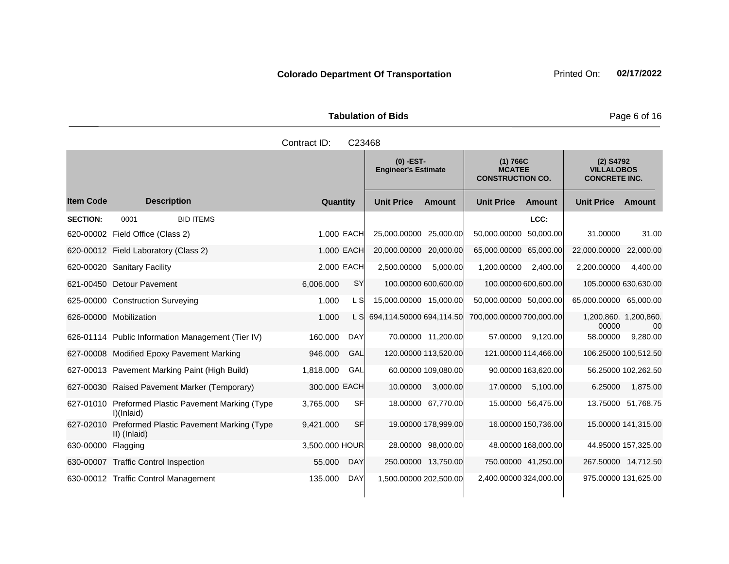| <b>Tabulation of Bids</b> |  |  |  |  |  |  |  |
|---------------------------|--|--|--|--|--|--|--|
| Contract ID: C23468       |  |  |  |  |  |  |  |

|                  |                                                               |                |            | $(0)$ -EST-<br><b>Engineer's Estimate</b> |                      | (1) 766C<br><b>MCATEE</b><br><b>CONSTRUCTION CO.</b> |                     | (2) S4792<br><b>VILLALOBOS</b><br><b>CONCRETE INC.</b> |                     |
|------------------|---------------------------------------------------------------|----------------|------------|-------------------------------------------|----------------------|------------------------------------------------------|---------------------|--------------------------------------------------------|---------------------|
| <b>Item Code</b> | <b>Description</b>                                            | Quantity       |            | <b>Unit Price</b>                         | Amount               | <b>Unit Price</b>                                    | Amount              | <b>Unit Price</b>                                      | Amount              |
| <b>SECTION:</b>  | 0001<br><b>BID ITEMS</b>                                      |                |            |                                           |                      |                                                      | LCC:                |                                                        |                     |
| 620-00002        | Field Office (Class 2)                                        |                | 1.000 EACH | 25,000.00000                              | 25,000.00            | 50,000.00000                                         | 50,000.00           | 31.00000                                               | 31.00               |
|                  | 620-00012 Field Laboratory (Class 2)                          |                | 1.000 EACH | 20,000.00000                              | 20,000.00            | 65,000.00000                                         | 65,000.00           | 22,000.00000 22,000.00                                 |                     |
|                  | 620-00020 Sanitary Facility                                   |                | 2.000 EACH | 2,500.00000                               | 5,000.00             | 1,200.00000                                          | 2,400.00            | 2,200.00000                                            | 4,400.00            |
|                  | 621-00450 Detour Pavement                                     | 6,006.000      | <b>SY</b>  |                                           | 100.00000 600,600.00 | 100.00000 600,600.00                                 |                     | 105.00000 630,630.00                                   |                     |
|                  | 625-00000 Construction Surveying                              | 1.000          | L S        | 15,000.00000 15,000.00                    |                      | 50,000.00000 50,000.00                               |                     | 65,000.00000 65,000.00                                 |                     |
|                  | 626-00000 Mobilization                                        | 1.000          | L S        | 694,114.50000 694,114.50                  |                      | 700,000.00000 700,000.00                             |                     | 1,200,860. 1,200,860.<br>00000                         | 00                  |
|                  | 626-01114 Public Information Management (Tier IV)             | 160.000        | <b>DAY</b> |                                           | 70.00000 11,200.00   | 57.00000                                             | 9,120.00            | 58.00000                                               | 9,280.00            |
|                  | 627-00008 Modified Epoxy Pavement Marking                     | 946.000        | GAL        |                                           | 120.00000 113,520.00 | 121.00000 114,466.00                                 |                     | 106.25000 100,512.50                                   |                     |
|                  | 627-00013 Pavement Marking Paint (High Build)                 | 1,818.000      | GAL        |                                           | 60.00000 109,080.00  |                                                      | 90.00000 163,620.00 |                                                        | 56.25000 102,262.50 |
|                  | 627-00030 Raised Pavement Marker (Temporary)                  | 300,000 EACH   |            | 10.00000                                  | 3,000.00             | 17.00000                                             | 5,100.00            | 6.25000                                                | 1,875.00            |
| 627-01010        | <b>Preformed Plastic Pavement Marking (Type</b><br>I)(Inlaid) | 3.765.000      | <b>SF</b>  |                                           | 18.00000 67,770.00   |                                                      | 15.00000 56,475.00  |                                                        | 13.75000 51,768.75  |
| 627-02010        | Preformed Plastic Pavement Marking (Type<br>II) (Inlaid)      | 9,421.000      | <b>SF</b>  |                                           | 19.00000 178,999.00  |                                                      | 16.00000 150,736.00 |                                                        | 15.00000 141,315.00 |
| 630-00000        | Flagging                                                      | 3,500.000 HOUR |            |                                           | 28.00000 98,000.00   |                                                      | 48.00000 168,000.00 |                                                        | 44.95000 157,325.00 |
|                  | 630-00007 Traffic Control Inspection                          | 55.000         | <b>DAY</b> |                                           | 250.00000 13,750.00  | 750.00000 41,250.00                                  |                     | 267.50000 14,712.50                                    |                     |
|                  | 630-00012 Traffic Control Management                          | 135.000        | <b>DAY</b> | 1,500.00000 202,500.00                    |                      | 2,400.00000 324,000.00                               |                     | 975.00000 131,625.00                                   |                     |

**Page 6 of 16**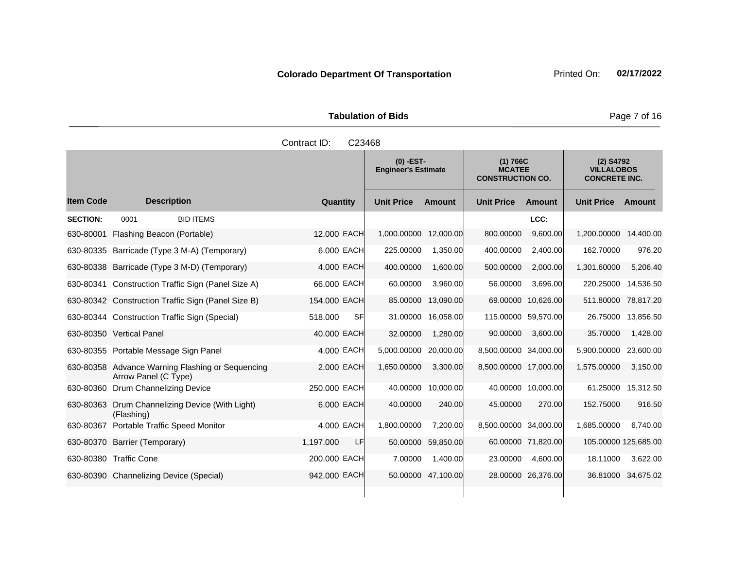Tabulation of Bids **Page 7 of 16** 

|                  |                                                                          | Contract ID:<br>C23468 |                                           |                    |                                                      |                    |                                                          |                    |
|------------------|--------------------------------------------------------------------------|------------------------|-------------------------------------------|--------------------|------------------------------------------------------|--------------------|----------------------------------------------------------|--------------------|
|                  |                                                                          |                        | $(0)$ -EST-<br><b>Engineer's Estimate</b> |                    | (1) 766C<br><b>MCATEE</b><br><b>CONSTRUCTION CO.</b> |                    | $(2)$ S4792<br><b>VILLALOBOS</b><br><b>CONCRETE INC.</b> |                    |
| <b>Item Code</b> | <b>Description</b>                                                       | Quantity               | <b>Unit Price</b>                         | <b>Amount</b>      | <b>Unit Price</b>                                    | <b>Amount</b>      | <b>Unit Price</b>                                        | Amount             |
| <b>SECTION:</b>  | <b>BID ITEMS</b><br>0001                                                 |                        |                                           |                    |                                                      | LCC:               |                                                          |                    |
|                  | 630-80001 Flashing Beacon (Portable)                                     | 12.000 EACH            | 1,000.00000 12,000.00                     |                    | 800.00000                                            | 9,600.00           | 1,200.00000                                              | 14,400.00          |
|                  | 630-80335 Barricade (Type 3 M-A) (Temporary)                             | 6.000 EACH             | 225.00000                                 | 1,350.00           | 400.00000                                            | 2,400.00           | 162.70000                                                | 976.20             |
|                  | 630-80338 Barricade (Type 3 M-D) (Temporary)                             | 4.000 EACH             | 400.00000                                 | 1,600.00           | 500.00000                                            | 2,000.00           | 1,301.60000                                              | 5,206.40           |
|                  | 630-80341 Construction Traffic Sign (Panel Size A)                       | 66.000 EACH            | 60.00000                                  | 3,960.00           | 56.00000                                             | 3,696.00           | 220.25000                                                | 14,536.50          |
|                  | 630-80342 Construction Traffic Sign (Panel Size B)                       | 154.000 EACH           |                                           | 85.00000 13,090.00 |                                                      | 69.00000 10,626.00 | 511.80000 78,817.20                                      |                    |
|                  | 630-80344 Construction Traffic Sign (Special)                            | 518.000<br>SFI         |                                           | 31.00000 16,058.00 | 115.00000 59,570.00                                  |                    | 26.75000                                                 | 13,856.50          |
|                  | 630-80350 Vertical Panel                                                 | 40.000 EACH            | 32.00000                                  | 1,280.00           | 90.00000                                             | 3,600.00           | 35.70000                                                 | 1,428.00           |
|                  | 630-80355 Portable Message Sign Panel                                    | 4.000 EACH             | 5,000.00000                               | 20,000.00          | 8,500.00000 34,000.00                                |                    | 5,900.00000                                              | 23,600.00          |
|                  | 630-80358 Advance Warning Flashing or Sequencing<br>Arrow Panel (C Type) | 2.000 EACH             | 1,650.00000                               | 3,300.00           | 8,500.00000 17,000.00                                |                    | 1,575.00000                                              | 3,150.00           |
|                  | 630-80360 Drum Channelizing Device                                       | 250.000 EACH           |                                           | 40.00000 10,000.00 |                                                      | 40.00000 10,000.00 | 61.25000                                                 | 15,312.50          |
|                  | 630-80363 Drum Channelizing Device (With Light)<br>(Flashing)            | 6.000 EACH             | 40.00000                                  | 240.00             | 45.00000                                             | 270.00             | 152.75000                                                | 916.50             |
| 630-80367        | <b>Portable Traffic Speed Monitor</b>                                    | 4.000 EACH             | 1,800.00000                               | 7,200.00           | 8,500.00000 34,000.00                                |                    | 1,685.00000                                              | 6,740.00           |
|                  | 630-80370 Barrier (Temporary)                                            | 1,197.000<br>LF        | 50.00000                                  | 59,850.00          |                                                      | 60.00000 71,820.00 | 105.00000 125,685.00                                     |                    |
|                  | 630-80380 Traffic Cone                                                   | 200.000 EACH           | 7.00000                                   | 1,400.00           | 23.00000                                             | 4,600.00           | 18.11000                                                 | 3,622.00           |
|                  | 630-80390 Channelizing Device (Special)                                  | 942.000 EACH           |                                           | 50.00000 47,100.00 |                                                      | 28.00000 26,376.00 |                                                          | 36.81000 34,675.02 |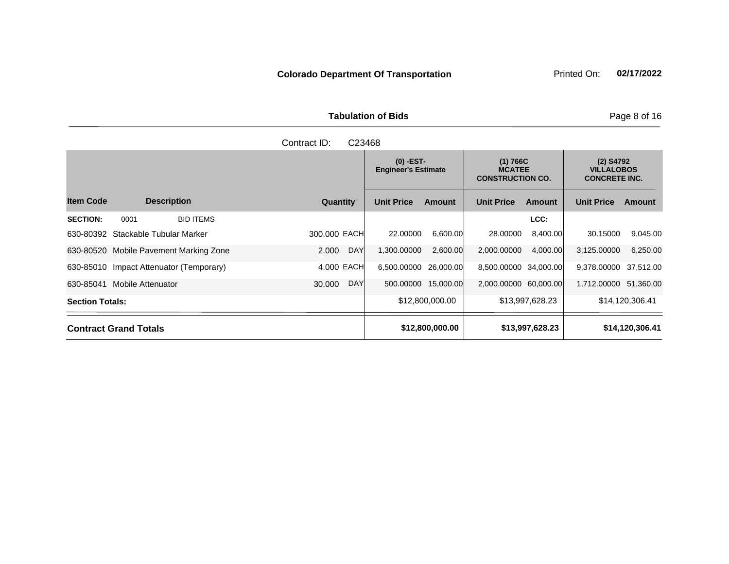Tabulation of Bids **Page 8 of 16** 

| Contract ID:<br>C <sub>23468</sub>          |                      |                                           |                                                      |                                                          |  |  |  |  |  |
|---------------------------------------------|----------------------|-------------------------------------------|------------------------------------------------------|----------------------------------------------------------|--|--|--|--|--|
|                                             |                      | $(0)$ -EST-<br><b>Engineer's Estimate</b> | (1) 766C<br><b>MCATEE</b><br><b>CONSTRUCTION CO.</b> | $(2)$ S4792<br><b>VILLALOBOS</b><br><b>CONCRETE INC.</b> |  |  |  |  |  |
| <b>Item Code</b><br><b>Description</b>      | Quantity             | <b>Unit Price</b><br><b>Amount</b>        | <b>Unit Price</b><br><b>Amount</b>                   | <b>Unit Price</b><br>Amount                              |  |  |  |  |  |
| <b>SECTION:</b><br>0001<br><b>BID ITEMS</b> |                      |                                           | LCC:                                                 |                                                          |  |  |  |  |  |
| 630-80392 Stackable Tubular Marker          | 300,000 EACH         | 22.00000<br>6,600.00                      | 28.00000<br>8,400.00                                 | 9,045.00<br>30.15000                                     |  |  |  |  |  |
| 630-80520<br>Mobile Pavement Marking Zone   | <b>DAY</b><br>2.000  | 1,300.00000<br>2,600.00                   | 4,000.00<br>2,000.00000                              | 3,125,00000<br>6,250.00                                  |  |  |  |  |  |
| 630-85010<br>Impact Attenuator (Temporary)  | 4.000 EACH           | 6,500.00000 26,000.00                     | 8,500.00000 34,000.00                                | 9,378.00000 37,512.00                                    |  |  |  |  |  |
| <b>Mobile Attenuator</b><br>630-85041       | <b>DAY</b><br>30,000 | 500.00000<br>15,000.00                    | 2,000.00000 60,000.00                                | 1,712.00000 51,360.00                                    |  |  |  |  |  |
| <b>Section Totals:</b>                      |                      | \$12,800,000.00                           | \$13,997,628.23                                      | \$14,120,306.41                                          |  |  |  |  |  |
| <b>Contract Grand Totals</b>                |                      | \$12,800,000.00                           | \$13,997,628.23                                      | \$14,120,306.41                                          |  |  |  |  |  |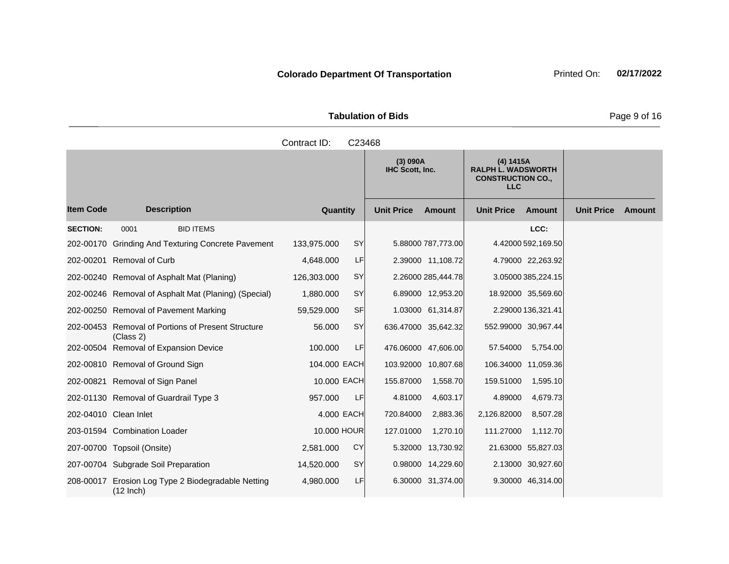| <b>Tabulation of Bids</b> |  |
|---------------------------|--|
|                           |  |

|                  |                                                                 | Contract ID: | C23468    |                             |                    |                                                                                  |                     |                   |               |
|------------------|-----------------------------------------------------------------|--------------|-----------|-----------------------------|--------------------|----------------------------------------------------------------------------------|---------------------|-------------------|---------------|
|                  |                                                                 |              |           | (3) 090A<br>IHC Scott, Inc. |                    | (4) 1415A<br><b>RALPH L. WADSWORTH</b><br><b>CONSTRUCTION CO.,</b><br><b>LLC</b> |                     |                   |               |
| <b>Item Code</b> | <b>Description</b>                                              | Quantity     |           | <b>Unit Price</b>           | <b>Amount</b>      | <b>Unit Price</b>                                                                | <b>Amount</b>       | <b>Unit Price</b> | <b>Amount</b> |
| <b>SECTION:</b>  | 0001<br><b>BID ITEMS</b>                                        |              |           |                             |                    |                                                                                  | LCC:                |                   |               |
|                  | 202-00170 Grinding And Texturing Concrete Pavement              | 133,975.000  | SY        |                             | 5.88000 787,773.00 |                                                                                  | 4.42000 592,169.50  |                   |               |
|                  | 202-00201 Removal of Curb                                       | 4,648.000    | LF        |                             | 2.39000 11,108.72  |                                                                                  | 4.79000 22,263.92   |                   |               |
|                  | 202-00240 Removal of Asphalt Mat (Planing)                      | 126,303.000  | SY        |                             | 2.26000 285,444.78 |                                                                                  | 3.05000 385,224.15  |                   |               |
|                  | 202-00246 Removal of Asphalt Mat (Planing) (Special)            | 1,880.000    | SY        |                             | 6.89000 12,953.20  |                                                                                  | 18.92000 35,569.60  |                   |               |
|                  | 202-00250 Removal of Pavement Marking                           | 59,529.000   | <b>SF</b> |                             | 1.03000 61,314.87  |                                                                                  | 2.29000 136,321.41  |                   |               |
|                  | 202-00453 Removal of Portions of Present Structure<br>(Class 2) | 56.000       | <b>SY</b> | 636.47000 35,642.32         |                    |                                                                                  | 552.99000 30,967.44 |                   |               |
|                  | 202-00504 Removal of Expansion Device                           | 100.000      | LF        | 476.06000 47,606.00         |                    | 57.54000                                                                         | 5,754.00            |                   |               |
|                  | 202-00810 Removal of Ground Sign                                | 104.000 EACH |           | 103.92000 10,807.68         |                    |                                                                                  | 106.34000 11,059.36 |                   |               |
|                  | 202-00821 Removal of Sign Panel                                 | 10.000 EACH  |           | 155.87000                   | 1,558.70           | 159.51000                                                                        | 1,595.10            |                   |               |
|                  | 202-01130 Removal of Guardrail Type 3                           | 957.000      | LF        | 4.81000                     | 4,603.17           | 4.89000                                                                          | 4,679.73            |                   |               |
|                  | 202-04010 Clean Inlet                                           | 4.000 EACH   |           | 720.84000                   | 2,883.36           | 2,126.82000                                                                      | 8,507.28            |                   |               |
|                  | 203-01594 Combination Loader                                    | 10.000 HOUR  |           | 127.01000                   | 1,270.10           | 111.27000                                                                        | 1,112.70            |                   |               |
|                  | 207-00700 Topsoil (Onsite)                                      | 2,581.000    | CY        |                             | 5.32000 13,730.92  |                                                                                  | 21.63000 55,827.03  |                   |               |
|                  | 207-00704 Subgrade Soil Preparation                             | 14,520.000   | SY        |                             | 0.98000 14,229.60  |                                                                                  | 2.13000 30,927.60   |                   |               |
| 208-00017        | Erosion Log Type 2 Biodegradable Netting<br>$(12$ Inch)         | 4,980.000    | LF        |                             | 6.30000 31,374.00  |                                                                                  | 9.30000 46,314.00   |                   |               |

**Page 9 of 16**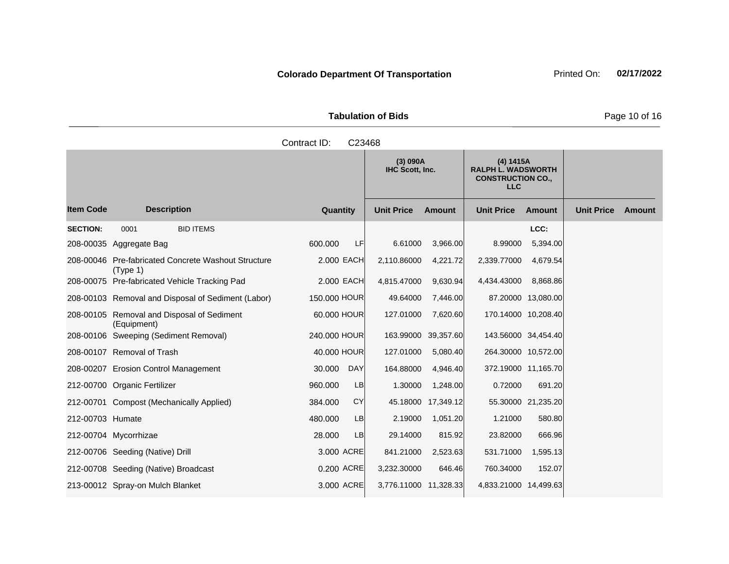| <b>Tabulation of Bids</b> |  |
|---------------------------|--|
|                           |  |

|                  |                                                                 | Contract ID:<br>C23468 |                                    |                    |                                                                                  |                     |                   |        |
|------------------|-----------------------------------------------------------------|------------------------|------------------------------------|--------------------|----------------------------------------------------------------------------------|---------------------|-------------------|--------|
|                  |                                                                 |                        | (3) 090A<br><b>IHC Scott, Inc.</b> |                    | (4) 1415A<br><b>RALPH L. WADSWORTH</b><br><b>CONSTRUCTION CO.,</b><br><b>LLC</b> |                     |                   |        |
| <b>Item Code</b> | <b>Description</b>                                              | Quantity               | <b>Unit Price</b>                  | Amount             | <b>Unit Price</b>                                                                | <b>Amount</b>       | <b>Unit Price</b> | Amount |
| <b>SECTION:</b>  | <b>BID ITEMS</b><br>0001                                        |                        |                                    |                    |                                                                                  | LCC:                |                   |        |
|                  | 208-00035 Aggregate Bag                                         | 600.000<br>LF          | 6.61000                            | 3,966.00           | 8.99000                                                                          | 5,394.00            |                   |        |
|                  | 208-00046 Pre-fabricated Concrete Washout Structure<br>(Type 1) | 2.000 EACH             | 2,110.86000                        | 4,221.72           | 2,339.77000                                                                      | 4,679.54            |                   |        |
|                  | 208-00075 Pre-fabricated Vehicle Tracking Pad                   | 2.000 EACH             | 4,815.47000                        | 9,630.94           | 4,434.43000                                                                      | 8,868.86            |                   |        |
|                  | 208-00103 Removal and Disposal of Sediment (Labor)              | 150.000 HOUR           | 49.64000                           | 7,446.00           |                                                                                  | 87.20000 13,080.00  |                   |        |
|                  | 208-00105 Removal and Disposal of Sediment<br>(Equipment)       | 60.000 HOUR            | 127.01000                          | 7,620.60           |                                                                                  | 170.14000 10,208.40 |                   |        |
|                  | 208-00106 Sweeping (Sediment Removal)                           | 240.000 HOUR           | 163.99000 39,357.60                |                    |                                                                                  | 143.56000 34,454.40 |                   |        |
|                  | 208-00107 Removal of Trash                                      | 40.000 HOUR            | 127.01000                          | 5,080.40           |                                                                                  | 264.30000 10,572.00 |                   |        |
|                  | 208-00207 Erosion Control Management                            | 30.000<br><b>DAY</b>   | 164.88000                          | 4,946.40           |                                                                                  | 372.19000 11,165.70 |                   |        |
|                  | 212-00700 Organic Fertilizer                                    | 960.000<br>LB          | 1.30000                            | 1,248.00           | 0.72000                                                                          | 691.20              |                   |        |
|                  | 212-00701 Compost (Mechanically Applied)                        | <b>CY</b><br>384.000   |                                    | 45.18000 17,349.12 |                                                                                  | 55.30000 21,235.20  |                   |        |
| 212-00703 Humate |                                                                 | 480.000<br>LB          | 2.19000                            | 1,051.20           | 1.21000                                                                          | 580.80              |                   |        |
|                  | 212-00704 Mycorrhizae                                           | 28.000<br>LB           | 29.14000                           | 815.92             | 23.82000                                                                         | 666.96              |                   |        |
|                  | 212-00706 Seeding (Native) Drill                                | 3.000 ACRE             | 841.21000                          | 2,523.63           | 531.71000                                                                        | 1,595.13            |                   |        |
|                  | 212-00708 Seeding (Native) Broadcast                            | 0.200 ACRE             | 3,232.30000                        | 646.46             | 760.34000                                                                        | 152.07              |                   |        |
|                  | 213-00012 Spray-on Mulch Blanket                                | 3.000 ACRE             | 3,776.11000 11,328.33              |                    | 4,833.21000 14,499.63                                                            |                     |                   |        |

**Page 10 of 16**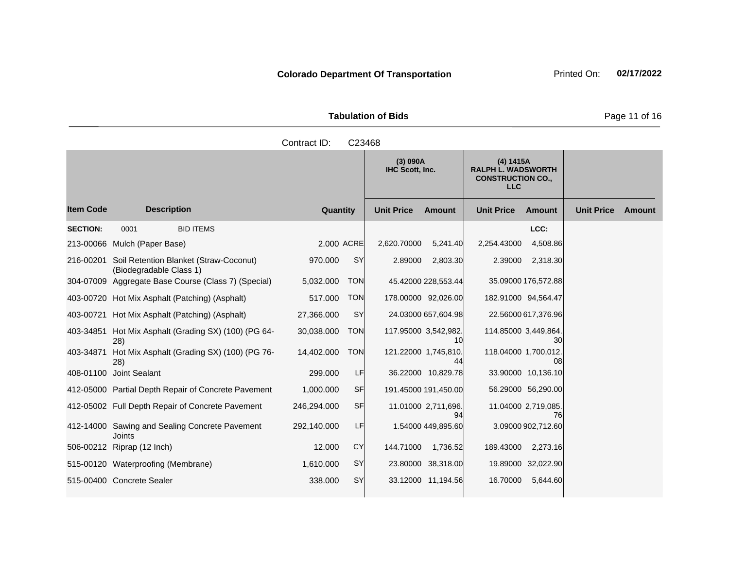| <b>Tabulation of Bids</b> |  |  |  |  |  |  |  |
|---------------------------|--|--|--|--|--|--|--|
| Contract ID: C23468       |  |  |  |  |  |  |  |

|                  |                                                                   |             |            | (3) 090A<br><b>IHC Scott, Inc.</b> |                            | (4) 1415A<br><b>RALPH L. WADSWORTH</b><br><b>CONSTRUCTION CO.,</b><br><b>LLC</b> |                           |                   |        |
|------------------|-------------------------------------------------------------------|-------------|------------|------------------------------------|----------------------------|----------------------------------------------------------------------------------|---------------------------|-------------------|--------|
| <b>Item Code</b> | <b>Description</b>                                                | Quantity    |            | <b>Unit Price</b>                  | <b>Amount</b>              | <b>Unit Price</b>                                                                | <b>Amount</b>             | <b>Unit Price</b> | Amount |
| <b>SECTION:</b>  | 0001<br><b>BID ITEMS</b>                                          |             |            |                                    |                            |                                                                                  | LCC:                      |                   |        |
|                  | 213-00066 Mulch (Paper Base)                                      | 2.000 ACRE  |            | 2,620.70000                        | 5,241.40                   | 2,254.43000                                                                      | 4,508.86                  |                   |        |
| 216-00201        | Soil Retention Blanket (Straw-Coconut)<br>(Biodegradable Class 1) | 970.000     | SY         | 2.89000                            | 2,803.30                   | 2.39000                                                                          | 2,318.30                  |                   |        |
|                  | 304-07009 Aggregate Base Course (Class 7) (Special)               | 5,032.000   | <b>TON</b> |                                    | 45.42000 228,553.44        |                                                                                  | 35.09000 176,572.88       |                   |        |
|                  | 403-00720 Hot Mix Asphalt (Patching) (Asphalt)                    | 517.000     | <b>TON</b> |                                    | 178.00000 92,026.00        | 182.91000 94,564.47                                                              |                           |                   |        |
|                  | 403-00721 Hot Mix Asphalt (Patching) (Asphalt)                    | 27,366.000  | SY         |                                    | 24.03000 657,604.98        |                                                                                  | 22.56000 617,376.96       |                   |        |
|                  | 403-34851 Hot Mix Asphalt (Grading SX) (100) (PG 64-<br>28)       | 30,038.000  | <b>TON</b> |                                    | 117.95000 3,542,982.<br>10 | 114.85000 3,449,864.                                                             | 30                        |                   |        |
| 403-34871        | Hot Mix Asphalt (Grading SX) (100) (PG 76-<br>28)                 | 14,402.000  | <b>TON</b> | 121.22000 1,745,810.               | 44                         | 118.04000 1,700,012                                                              | 08                        |                   |        |
|                  | 408-01100 Joint Sealant                                           | 299.000     | LF         |                                    | 36.22000 10,829.78         |                                                                                  | 33.90000 10,136.10        |                   |        |
|                  | 412-05000 Partial Depth Repair of Concrete Pavement               | 1,000.000   | <b>SF</b>  |                                    | 191.45000 191,450.00       |                                                                                  | 56.29000 56,290.00        |                   |        |
|                  | 412-05002 Full Depth Repair of Concrete Pavement                  | 246,294.000 | <b>SF</b>  |                                    | 11.01000 2,711,696.<br>94  |                                                                                  | 11.04000 2,719,085.<br>76 |                   |        |
|                  | 412-14000 Sawing and Sealing Concrete Pavement<br><b>Joints</b>   | 292,140.000 | LF         |                                    | 1.54000 449,895.60         |                                                                                  | 3.09000 902,712.60        |                   |        |
|                  | 506-00212 Riprap (12 Inch)                                        | 12.000      | <b>CY</b>  | 144.71000                          | 1,736.52                   | 189.43000                                                                        | 2,273.16                  |                   |        |
|                  | 515-00120 Waterproofing (Membrane)                                | 1,610.000   | <b>SY</b>  |                                    | 23.80000 38,318.00         |                                                                                  | 19.89000 32,022.90        |                   |        |
|                  | 515-00400 Concrete Sealer                                         | 338.000     | SY         |                                    | 33.12000 11,194.56         | 16.70000                                                                         | 5,644.60                  |                   |        |

Page 11 of 16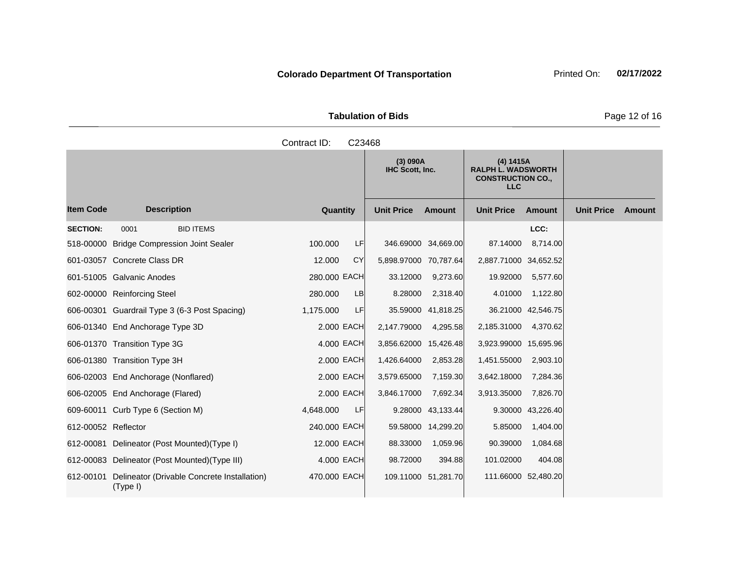|                       | <b>Tabulation of Bids</b> |
|-----------------------|---------------------------|
| Contract $ID: C23468$ |                           |

|                     |                                                         |              |    | (3) 090A<br>IHC Scott, Inc. |                     | (4) 1415A<br><b>RALPH L. WADSWORTH</b><br><b>CONSTRUCTION CO.,</b><br><b>LLC</b> |                     |                   |        |
|---------------------|---------------------------------------------------------|--------------|----|-----------------------------|---------------------|----------------------------------------------------------------------------------|---------------------|-------------------|--------|
| <b>Item Code</b>    | <b>Description</b>                                      | Quantity     |    | <b>Unit Price</b>           | Amount              | <b>Unit Price</b>                                                                | <b>Amount</b>       | <b>Unit Price</b> | Amount |
| <b>SECTION:</b>     | 0001<br><b>BID ITEMS</b>                                |              |    |                             |                     |                                                                                  | LCC:                |                   |        |
|                     | 518-00000 Bridge Compression Joint Sealer               | 100.000      | LF |                             | 346.69000 34,669.00 | 87.14000                                                                         | 8,714.00            |                   |        |
|                     | 601-03057 Concrete Class DR                             | 12.000       | CY | 5,898.97000 70,787.64       |                     | 2,887.71000 34,652.52                                                            |                     |                   |        |
|                     | 601-51005 Galvanic Anodes                               | 280.000 EACH |    | 33.12000                    | 9,273.60            | 19.92000                                                                         | 5,577.60            |                   |        |
|                     | 602-00000 Reinforcing Steel                             | 280.000      | LB | 8.28000                     | 2,318.40            | 4.01000                                                                          | 1,122.80            |                   |        |
|                     | 606-00301 Guardrail Type 3 (6-3 Post Spacing)           | 1,175.000    | LF | 35.59000                    | 41,818.25           |                                                                                  | 36.21000 42,546.75  |                   |        |
|                     | 606-01340 End Anchorage Type 3D                         | 2.000 EACH   |    | 2,147.79000                 | 4,295.58            | 2,185.31000                                                                      | 4,370.62            |                   |        |
|                     | 606-01370 Transition Type 3G                            | 4.000 EACH   |    | 3,856.62000                 | 15,426.48           | 3,923.99000 15,695.96                                                            |                     |                   |        |
|                     | 606-01380 Transition Type 3H                            | 2,000 EACH   |    | 1,426.64000                 | 2,853.28            | 1,451.55000                                                                      | 2,903.10            |                   |        |
|                     | 606-02003 End Anchorage (Nonflared)                     | 2.000 EACH   |    | 3,579.65000                 | 7,159.30            | 3,642.18000                                                                      | 7,284.36            |                   |        |
|                     | 606-02005 End Anchorage (Flared)                        | 2.000 EACH   |    | 3,846.17000                 | 7,692.34            | 3,913.35000                                                                      | 7,826.70            |                   |        |
|                     | 609-60011 Curb Type 6 (Section M)                       | 4,648.000    | LF | 9.28000                     | 43,133.44           | 9.30000                                                                          | 43,226.40           |                   |        |
| 612-00052 Reflector |                                                         | 240.000 EACH |    | 59.58000                    | 14,299.20           | 5.85000                                                                          | 1,404.00            |                   |        |
|                     | 612-00081 Delineator (Post Mounted) (Type I)            | 12.000 EACH  |    | 88.33000                    | 1,059.96            | 90.39000                                                                         | 1,084.68            |                   |        |
|                     | 612-00083 Delineator (Post Mounted) (Type III)          | 4.000 EACH   |    | 98.72000                    | 394.88              | 101.02000                                                                        | 404.08              |                   |        |
| 612-00101           | Delineator (Drivable Concrete Installation)<br>(Type I) | 470.000 EACH |    |                             | 109.11000 51,281.70 |                                                                                  | 111.66000 52,480.20 |                   |        |

Page 12 of 16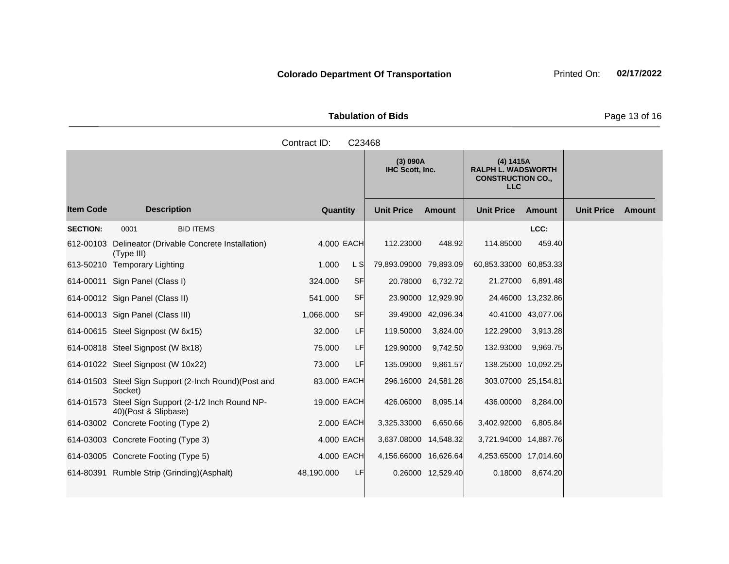| <b>Tabulation of Bids</b> |  |
|---------------------------|--|

|                  |                                                                            | Contract ID: | C23468    |                                    |                     |                                                                                  |                     |                   |               |
|------------------|----------------------------------------------------------------------------|--------------|-----------|------------------------------------|---------------------|----------------------------------------------------------------------------------|---------------------|-------------------|---------------|
|                  |                                                                            |              |           | (3) 090A<br><b>IHC Scott, Inc.</b> |                     | (4) 1415A<br><b>RALPH L. WADSWORTH</b><br><b>CONSTRUCTION CO.,</b><br><b>LLC</b> |                     |                   |               |
| <b>Item Code</b> | <b>Description</b>                                                         | Quantity     |           | <b>Unit Price</b>                  | <b>Amount</b>       | <b>Unit Price</b>                                                                | <b>Amount</b>       | <b>Unit Price</b> | <b>Amount</b> |
| <b>SECTION:</b>  | 0001<br><b>BID ITEMS</b>                                                   |              |           |                                    |                     |                                                                                  | LCC:                |                   |               |
|                  | 612-00103 Delineator (Drivable Concrete Installation)<br>(Type III)        | 4.000 EACH   |           | 112.23000                          | 448.92              | 114.85000                                                                        | 459.40              |                   |               |
|                  | 613-50210 Temporary Lighting                                               | 1.000        | L S       | 79,893.09000 79,893.09             |                     | 60,853.33000 60,853.33                                                           |                     |                   |               |
|                  | 614-00011 Sign Panel (Class I)                                             | 324,000      | <b>SF</b> | 20.78000                           | 6,732.72            | 21.27000                                                                         | 6,891.48            |                   |               |
|                  | 614-00012 Sign Panel (Class II)                                            | 541.000      | <b>SF</b> |                                    | 23.90000 12,929.90  |                                                                                  | 24.46000 13,232.86  |                   |               |
|                  | 614-00013 Sign Panel (Class III)                                           | 1,066.000    | <b>SF</b> |                                    | 39.49000 42,096.34  |                                                                                  | 40.41000 43,077.06  |                   |               |
|                  | 614-00615 Steel Signpost (W 6x15)                                          | 32,000       | LF        | 119.50000                          | 3,824.00            | 122.29000                                                                        | 3,913.28            |                   |               |
|                  | 614-00818 Steel Signpost (W 8x18)                                          | 75.000       | LF        | 129.90000                          | 9,742.50            | 132.93000                                                                        | 9,969.75            |                   |               |
|                  | 614-01022 Steel Signpost (W 10x22)                                         | 73.000       | LF        | 135.09000                          | 9,861.57            |                                                                                  | 138.25000 10,092.25 |                   |               |
|                  | 614-01503 Steel Sign Support (2-Inch Round) (Post and<br>Socket)           | 83.000 EACH  |           |                                    | 296.16000 24,581.28 |                                                                                  | 303.07000 25,154.81 |                   |               |
|                  | 614-01573 Steel Sign Support (2-1/2 Inch Round NP-<br>40)(Post & Slipbase) | 19.000 EACH  |           | 426.06000                          | 8,095.14            | 436,00000                                                                        | 8,284.00            |                   |               |
|                  | 614-03002 Concrete Footing (Type 2)                                        | 2,000 EACH   |           | 3,325.33000                        | 6,650.66            | 3,402.92000                                                                      | 6,805.84            |                   |               |
|                  | 614-03003 Concrete Footing (Type 3)                                        | 4.000 EACH   |           | 3,637.08000 14,548.32              |                     | 3,721.94000 14,887.76                                                            |                     |                   |               |
|                  | 614-03005 Concrete Footing (Type 5)                                        | 4.000 EACH   |           | 4,156.66000 16,626.64              |                     | 4,253.65000 17,014.60                                                            |                     |                   |               |
|                  | 614-80391 Rumble Strip (Grinding) (Asphalt)                                | 48,190.000   | LF        |                                    | 0.26000 12,529.40   | 0.18000                                                                          | 8,674.20            |                   |               |

**Tabulation of Bids** Page 13 of 16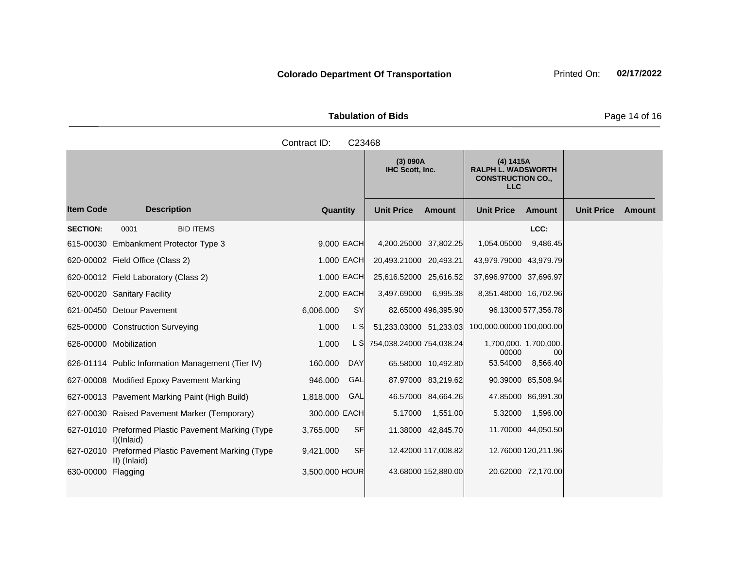|                       | <b>Tabulation of Bids</b> |
|-----------------------|---------------------------|
| Contract $ID: C33/68$ |                           |

|                    |                                                                  | oviniaut i <i>d</i> . | ◡∠◡┭∪◡     |                             |                     |                                                                                  |                     |                   |               |
|--------------------|------------------------------------------------------------------|-----------------------|------------|-----------------------------|---------------------|----------------------------------------------------------------------------------|---------------------|-------------------|---------------|
|                    |                                                                  |                       |            | (3) 090A<br>IHC Scott, Inc. |                     | (4) 1415A<br><b>RALPH L. WADSWORTH</b><br><b>CONSTRUCTION CO.,</b><br><b>LLC</b> |                     |                   |               |
| <b>Item Code</b>   | <b>Description</b>                                               | Quantity              |            | <b>Unit Price</b>           | Amount              | <b>Unit Price</b>                                                                | Amount              | <b>Unit Price</b> | <b>Amount</b> |
| <b>SECTION:</b>    | 0001<br><b>BID ITEMS</b>                                         |                       |            |                             |                     |                                                                                  | LCC:                |                   |               |
|                    | 615-00030 Embankment Protector Type 3                            | 9.000 EACH            |            | 4,200.25000 37,802.25       |                     | 1,054.05000                                                                      | 9,486.45            |                   |               |
|                    | 620-00002 Field Office (Class 2)                                 | 1.000 EACH            |            | 20,493.21000 20,493.21      |                     | 43,979.79000 43,979.79                                                           |                     |                   |               |
|                    | 620-00012 Field Laboratory (Class 2)                             | 1.000 EACH            |            | 25,616.52000 25,616.52      |                     | 37,696.97000 37,696.97                                                           |                     |                   |               |
|                    | 620-00020 Sanitary Facility                                      | 2.000 EACH            |            | 3,497.69000                 | 6,995.38            | 8,351.48000 16,702.96                                                            |                     |                   |               |
|                    | 621-00450 Detour Pavement                                        | 6,006.000             | SY         |                             | 82.65000 496,395.90 |                                                                                  | 96.13000 577,356.78 |                   |               |
|                    | 625-00000 Construction Surveying                                 | 1.000                 | L S        | 51,233.03000 51,233.03      |                     | 100,000.00000 100,000.00                                                         |                     |                   |               |
|                    | 626-00000 Mobilization                                           | 1.000                 | L SI       | 754,038.24000 754,038.24    |                     | 1,700,000. 1,700,000.<br>00000                                                   | 00                  |                   |               |
|                    | 626-01114 Public Information Management (Tier IV)                | 160.000               | <b>DAY</b> |                             | 65.58000 10,492.80  | 53.54000                                                                         | 8,566.40            |                   |               |
|                    | 627-00008 Modified Epoxy Pavement Marking                        | 946.000               | GAL        |                             | 87.97000 83,219.62  |                                                                                  | 90.39000 85,508.94  |                   |               |
|                    | 627-00013 Pavement Marking Paint (High Build)                    | 1,818.000             | GAL        |                             | 46.57000 84,664.26  |                                                                                  | 47.85000 86,991.30  |                   |               |
|                    | 627-00030 Raised Pavement Marker (Temporary)                     | 300.000 EACH          |            | 5.17000                     | 1,551.00            | 5.32000                                                                          | 1,596.00            |                   |               |
|                    | 627-01010 Preformed Plastic Pavement Marking (Type<br>I)(Inlaid) | 3,765.000             | <b>SF</b>  |                             | 11.38000 42,845.70  |                                                                                  | 11.70000 44,050.50  |                   |               |
| 627-02010          | Preformed Plastic Pavement Marking (Type<br>II) (Inlaid)         | 9,421.000             | <b>SF</b>  |                             | 12.42000 117,008.82 |                                                                                  | 12.76000 120,211.96 |                   |               |
| 630-00000 Flagging |                                                                  | 3,500.000 HOUR        |            |                             | 43.68000 152,880.00 |                                                                                  | 20.62000 72,170.00  |                   |               |
|                    |                                                                  |                       |            |                             |                     |                                                                                  |                     |                   |               |

Page 14 of 16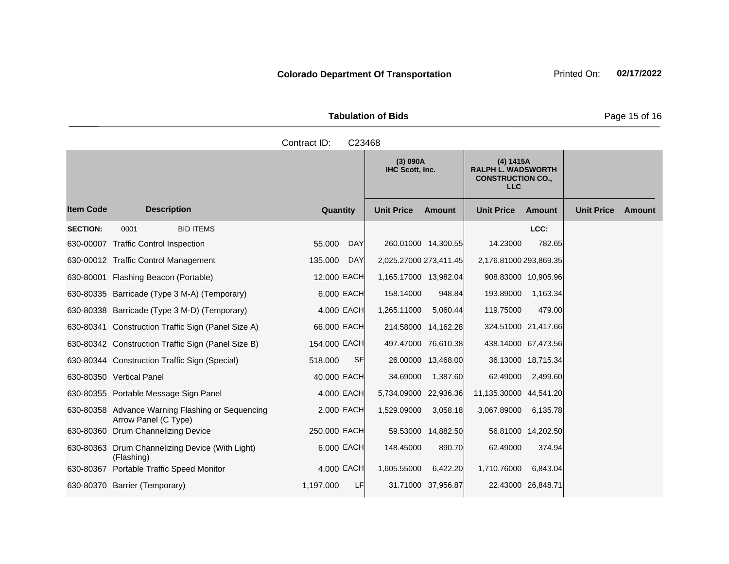|                       | <b>Tabulation of Bids</b> |
|-----------------------|---------------------------|
| Contract $ID: C33AB8$ |                           |

|                  |                                                                          | oviniau i D.<br>◡∠◡┭∪◡ |                             |               |                                                                                  |                    |                   |        |
|------------------|--------------------------------------------------------------------------|------------------------|-----------------------------|---------------|----------------------------------------------------------------------------------|--------------------|-------------------|--------|
|                  |                                                                          |                        | (3) 090A<br>IHC Scott, Inc. |               | (4) 1415A<br><b>RALPH L. WADSWORTH</b><br><b>CONSTRUCTION CO.,</b><br><b>LLC</b> |                    |                   |        |
| <b>Item Code</b> | <b>Description</b>                                                       | Quantity               | <b>Unit Price</b>           | <b>Amount</b> | <b>Unit Price</b>                                                                | <b>Amount</b>      | <b>Unit Price</b> | Amount |
| <b>SECTION:</b>  | 0001<br><b>BID ITEMS</b>                                                 |                        |                             |               |                                                                                  | LCC:               |                   |        |
|                  | 630-00007 Traffic Control Inspection                                     | <b>DAY</b><br>55.000   | 260.01000 14,300.55         |               | 14.23000                                                                         | 782.65             |                   |        |
|                  | 630-00012 Traffic Control Management                                     | <b>DAY</b><br>135.000  | 2,025.27000 273,411.45      |               | 2,176.81000 293,869.35                                                           |                    |                   |        |
|                  | 630-80001 Flashing Beacon (Portable)                                     | 12.000 EACH            | 1,165.17000 13,982.04       |               | 908.83000 10,905.96                                                              |                    |                   |        |
|                  | 630-80335 Barricade (Type 3 M-A) (Temporary)                             | 6.000 EACH             | 158.14000                   | 948.84        | 193.89000                                                                        | 1,163.34           |                   |        |
|                  | 630-80338 Barricade (Type 3 M-D) (Temporary)                             | 4.000 EACH             | 1,265.11000                 | 5,060.44      | 119.75000                                                                        | 479.00             |                   |        |
|                  | 630-80341 Construction Traffic Sign (Panel Size A)                       | 66.000 EACH            | 214.58000 14,162.28         |               | 324.51000 21,417.66                                                              |                    |                   |        |
|                  | 630-80342 Construction Traffic Sign (Panel Size B)                       | 154.000 EACH           | 497.47000 76,610.38         |               | 438.14000 67,473.56                                                              |                    |                   |        |
|                  | 630-80344 Construction Traffic Sign (Special)                            | <b>SF</b><br>518.000   | 26.00000 13,468.00          |               |                                                                                  | 36.13000 18,715.34 |                   |        |
|                  | 630-80350 Vertical Panel                                                 | 40.000 EACH            | 34.69000                    | 1,387.60      | 62.49000                                                                         | 2,499.60           |                   |        |
|                  | 630-80355 Portable Message Sign Panel                                    | 4.000 EACH             | 5,734.09000 22,936.36       |               | 11,135.30000 44,541.20                                                           |                    |                   |        |
|                  | 630-80358 Advance Warning Flashing or Sequencing<br>Arrow Panel (C Type) | 2.000 EACH             | 1,529.09000                 | 3,058.18      | 3,067.89000                                                                      | 6,135.78           |                   |        |
|                  | 630-80360 Drum Channelizing Device                                       | 250.000 EACH           | 59.53000 14,882.50          |               |                                                                                  | 56.81000 14,202.50 |                   |        |
|                  | 630-80363 Drum Channelizing Device (With Light)<br>(Flashing)            | 6.000 EACH             | 148.45000                   | 890.70        | 62.49000                                                                         | 374.94             |                   |        |
|                  | 630-80367 Portable Traffic Speed Monitor                                 | 4.000 EACH             | 1,605.55000                 | 6,422.20      | 1,710.76000                                                                      | 6,843.04           |                   |        |
|                  | 630-80370 Barrier (Temporary)                                            | 1,197.000<br>LF.       | 31.71000 37,956.87          |               |                                                                                  | 22.43000 26,848.71 |                   |        |

**Tabulation of Bids** Page 15 of 16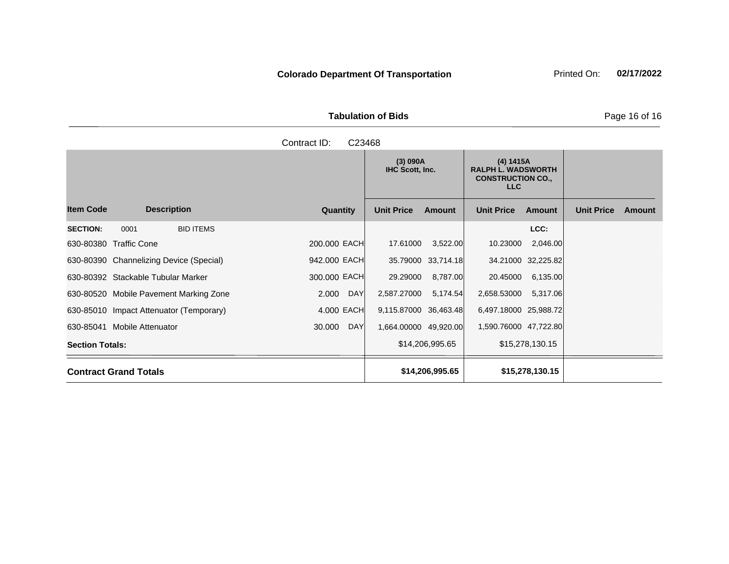Tabulation of Bids **Page 16 of 16** 

|                        |                                         |                  |              |            | (3) 090A<br>IHC Scott, Inc. |                    | (4) 1415A<br><b>RALPH L. WADSWORTH</b><br><b>CONSTRUCTION CO.,</b><br>LLC |                    |                   |        |
|------------------------|-----------------------------------------|------------------|--------------|------------|-----------------------------|--------------------|---------------------------------------------------------------------------|--------------------|-------------------|--------|
| <b>Item Code</b>       | <b>Description</b>                      |                  | Quantity     |            | <b>Unit Price</b>           | <b>Amount</b>      | <b>Unit Price</b>                                                         | Amount             | <b>Unit Price</b> | Amount |
| <b>SECTION:</b>        | 0001                                    | <b>BID ITEMS</b> |              |            |                             |                    |                                                                           | LCC:               |                   |        |
|                        | 630-80380 Traffic Cone                  |                  | 200,000 EACH |            | 17.61000                    | 3,522.00           | 10.23000                                                                  | 2,046.00           |                   |        |
|                        | 630-80390 Channelizing Device (Special) |                  | 942.000 EACH |            |                             | 35.79000 33,714.18 |                                                                           | 34.21000 32,225.82 |                   |        |
|                        | 630-80392 Stackable Tubular Marker      |                  | 300.000 EACH |            | 29.29000                    | 8,787.00           | 20.45000                                                                  | 6,135.00           |                   |        |
|                        | 630-80520 Mobile Pavement Marking Zone  |                  | 2.000        | <b>DAY</b> | 2,587.27000                 | 5,174.54           | 2,658.53000                                                               | 5,317.06           |                   |        |
|                        | 630-85010 Impact Attenuator (Temporary) |                  | 4.000 EACH   |            | 9,115.87000 36,463.48       |                    | 6,497.18000 25,988.72                                                     |                    |                   |        |
|                        | 630-85041 Mobile Attenuator             |                  | 30.000       | <b>DAY</b> | 1,664.00000 49,920.00       |                    | 1,590.76000 47,722.80                                                     |                    |                   |        |
| <b>Section Totals:</b> |                                         |                  |              |            |                             | \$14,206,995.65    |                                                                           | \$15,278,130.15    |                   |        |
|                        | <b>Contract Grand Totals</b>            |                  |              |            |                             | \$14,206,995.65    |                                                                           | \$15,278,130.15    |                   |        |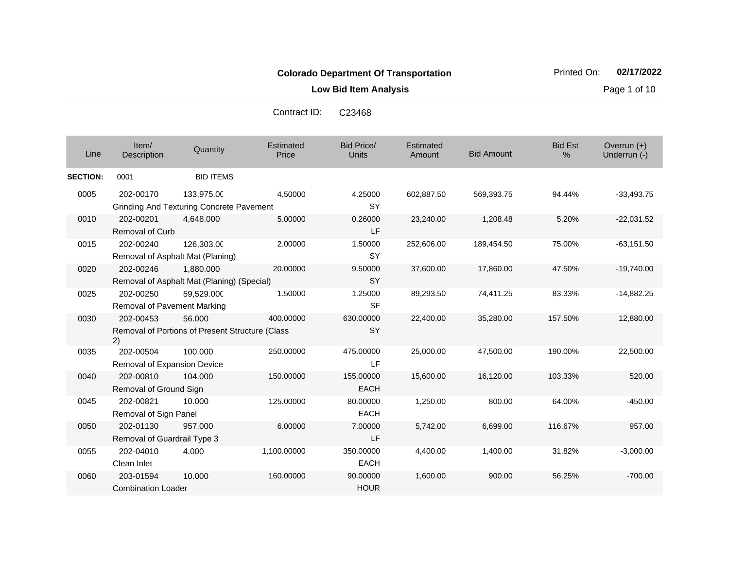**Low Bid Item Analysis Page 1 of 10** 

Contract ID: C23468

| Line            | Item/<br>Description                     | Quantity                                                      | Estimated<br>Price | Bid Price/<br>Units      | Estimated<br>Amount | <b>Bid Amount</b> | <b>Bid Est</b><br>% | Overrun $(+)$<br>Underrun (-) |
|-----------------|------------------------------------------|---------------------------------------------------------------|--------------------|--------------------------|---------------------|-------------------|---------------------|-------------------------------|
| <b>SECTION:</b> | 0001                                     | <b>BID ITEMS</b>                                              |                    |                          |                     |                   |                     |                               |
| 0005            | 202-00170                                | 133,975.00<br><b>Grinding And Texturing Concrete Pavement</b> | 4.50000            | 4.25000<br><b>SY</b>     | 602,887.50          | 569,393.75        | 94.44%              | $-33,493.75$                  |
| 0010            | 202-00201<br><b>Removal of Curb</b>      | 4,648.000                                                     | 5.00000            | 0.26000<br>LF            | 23,240.00           | 1,208.48          | 5.20%               | $-22,031.52$                  |
| 0015            | 202-00240                                | 126,303.00<br>Removal of Asphalt Mat (Planing)                | 2.00000            | 1.50000<br><b>SY</b>     | 252,606.00          | 189,454.50        | 75.00%              | $-63,151.50$                  |
| 0020            | 202-00246                                | 1,880.000<br>Removal of Asphalt Mat (Planing) (Special)       | 20.00000           | 9.50000<br><b>SY</b>     | 37,600.00           | 17,860.00         | 47.50%              | $-19,740.00$                  |
| 0025            | 202-00250<br>Removal of Pavement Marking | 59,529.000                                                    | 1.50000            | 1.25000<br><b>SF</b>     | 89,293.50           | 74,411.25         | 83.33%              | $-14,882.25$                  |
| 0030            | 202-00453<br>2)                          | 56.000<br>Removal of Portions of Present Structure (Class     | 400.00000          | 630.00000<br><b>SY</b>   | 22,400.00           | 35,280.00         | 157.50%             | 12,880.00                     |
| 0035            | 202-00504<br>Removal of Expansion Device | 100.000                                                       | 250.00000          | 475.00000<br><b>LF</b>   | 25,000.00           | 47,500.00         | 190.00%             | 22,500.00                     |
| 0040            | 202-00810<br>Removal of Ground Sign      | 104.000                                                       | 150.00000          | 155.00000<br><b>EACH</b> | 15,600.00           | 16,120.00         | 103.33%             | 520.00                        |
| 0045            | 202-00821<br>Removal of Sign Panel       | 10.000                                                        | 125.00000          | 80.00000<br><b>EACH</b>  | 1,250.00            | 800.00            | 64.00%              | $-450.00$                     |
| 0050            | 202-01130<br>Removal of Guardrail Type 3 | 957.000                                                       | 6.00000            | 7.00000<br>LF            | 5,742.00            | 6,699.00          | 116.67%             | 957.00                        |
| 0055            | 202-04010<br>Clean Inlet                 | 4.000                                                         | 1,100.00000        | 350.00000<br><b>EACH</b> | 4,400.00            | 1,400.00          | 31.82%              | $-3,000.00$                   |
| 0060            | 203-01594<br><b>Combination Loader</b>   | 10.000                                                        | 160.00000          | 90.00000<br><b>HOUR</b>  | 1,600.00            | 900.00            | 56.25%              | $-700.00$                     |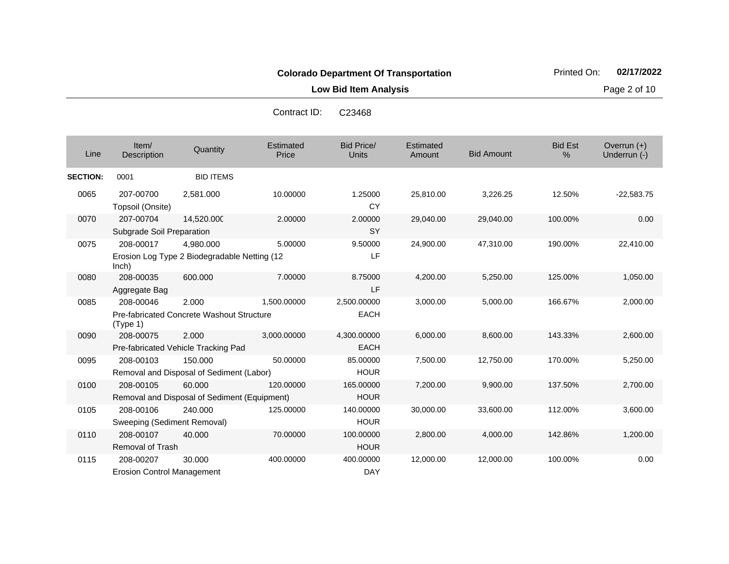**Low Bid Item Analysis Page 2 of 10** 

22,410.00

1,050.00

8,600.00

7,200.00 9,900.00 137.50% 2,700.00

30,000.00 33,600.00 112.00% 3,600.00

2,800.00 4,000.00 142.86% 1,200.00

12,000.00 12,000.00 100.00% 0.00

Contract ID: C23468

| Line            | Item/<br>Description                   | Quantity                                                   | Estimated<br>Price | Bid Price/<br>Units        | Estimated<br>Amount | <b>Bid Amount</b> | <b>Bid Est</b><br>$\%$ | Overrun $(+)$<br>Underrun (-) |
|-----------------|----------------------------------------|------------------------------------------------------------|--------------------|----------------------------|---------------------|-------------------|------------------------|-------------------------------|
| <b>SECTION:</b> | 0001                                   | <b>BID ITEMS</b>                                           |                    |                            |                     |                   |                        |                               |
| 0065            | 207-00700<br>Topsoil (Onsite)          | 2,581.000                                                  | 10.00000           | 1.25000<br>CY              | 25,810.00           | 3,226.25          | 12.50%                 | $-22,583.75$                  |
| 0070            | 207-00704<br>Subgrade Soil Preparation | 14,520.000                                                 | 2.00000            | 2.00000<br><b>SY</b>       | 29,040.00           | 29,040.00         | 100.00%                | 0.00                          |
| 0075            | 208-00017<br>lnch)                     | 4,980.000<br>Erosion Log Type 2 Biodegradable Netting (12) | 5.00000            | 9.50000<br>LF              | 24,900.00           | 47,310.00         | 190.00%                | 22,410.00                     |
| 0080            | 208-00035<br>Aggregate Bag             | 600,000                                                    | 7.00000            | 8.75000<br>LF              | 4,200.00            | 5,250.00          | 125.00%                | 1,050.00                      |
| 0085            | 208-00046<br>(Type 1)                  | 2.000<br><b>Pre-fabricated Concrete Washout Structure</b>  | 1,500.00000        | 2,500.00000<br><b>EACH</b> | 3,000.00            | 5,000.00          | 166.67%                | 2,000.00                      |
| 0090            | 208-00075                              | 2.000<br>Pre-fabricated Vehicle Tracking Pad               | 3,000.00000        | 4,300.00000<br><b>EACH</b> | 6,000.00            | 8,600.00          | 143.33%                | 2,600.00                      |
| 0095            | 208-00103                              | 150,000<br>Removal and Disposal of Sediment (Labor)        | 50.00000           | 85.00000<br><b>HOUR</b>    | 7,500.00            | 12,750.00         | 170.00%                | 5,250.00                      |

**HOUR** 

HOUR

**HOUR** 

DAY

60.000 120.00000 165.00000

240.000 125.00000 140.00000

40.000 70.00000 100.00000

30.000 400.00000 400.00000

0100 208-00105

0105 208-00106

0110 208-00107

0115 208-00207

Removal of Trash

Removal and Disposal of Sediment (Equipment)

Sweeping (Sediment Removal)

Erosion Control Management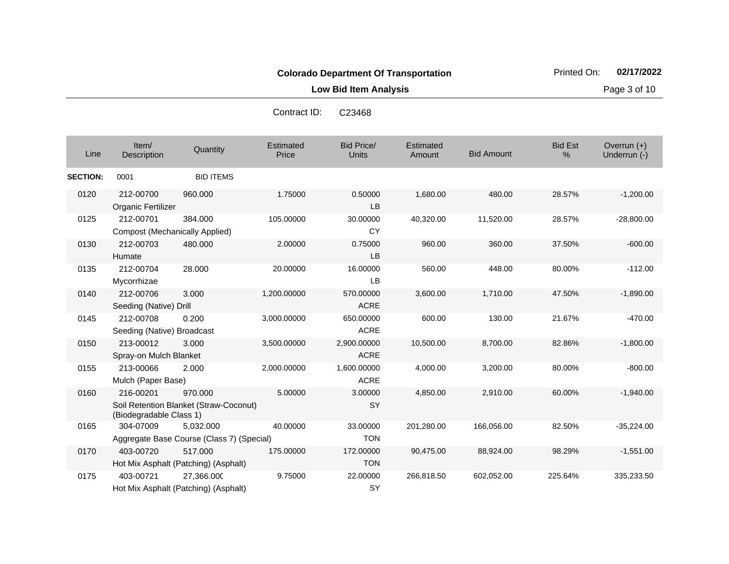Contract ID: C23468

**Low Bid Item Analysis Contract Contract Contract Contract Contract Contract Contract Contract Contract Contract Contract Contract Contract Contract Contract Contract Contract Contract Contract Contract Contract Contract** 

| Line            | Item/<br>Description                                                                      | Quantity                                               | Estimated<br>Price | Bid Price/<br><b>Units</b> | Estimated<br>Amount | <b>Bid Amount</b> | <b>Bid Est</b><br>$\frac{0}{0}$ | Overrun $(+)$<br>Underrun (-) |
|-----------------|-------------------------------------------------------------------------------------------|--------------------------------------------------------|--------------------|----------------------------|---------------------|-------------------|---------------------------------|-------------------------------|
| <b>SECTION:</b> | 0001                                                                                      | <b>BID ITEMS</b>                                       |                    |                            |                     |                   |                                 |                               |
| 0120            | 212-00700<br>Organic Fertilizer                                                           | 960,000                                                | 1.75000            | 0.50000<br><b>LB</b>       | 1,680.00            | 480.00            | 28.57%                          | $-1,200.00$                   |
| 0125            | 212-00701<br><b>Compost (Mechanically Applied)</b>                                        | 384.000                                                | 105.00000          | 30.00000<br><b>CY</b>      | 40,320.00           | 11,520.00         | 28.57%                          | $-28,800.00$                  |
| 0130            | 212-00703<br>Humate                                                                       | 480.000                                                | 2.00000            | 0.75000<br><b>LB</b>       | 960.00              | 360.00            | 37.50%                          | $-600.00$                     |
| 0135            | 212-00704<br>Mycorrhizae                                                                  | 28.000                                                 | 20.00000           | 16.00000<br>LB             | 560.00              | 448.00            | 80.00%                          | $-112.00$                     |
| 0140            | 212-00706<br>Seeding (Native) Drill                                                       | 3.000                                                  | 1,200.00000        | 570.00000<br><b>ACRE</b>   | 3,600.00            | 1,710.00          | 47.50%                          | $-1,890.00$                   |
| 0145            | 212-00708<br>Seeding (Native) Broadcast                                                   | 0.200                                                  | 3,000.00000        | 650.00000<br><b>ACRE</b>   | 600.00              | 130.00            | 21.67%                          | $-470.00$                     |
| 0150            | 213-00012<br>Spray-on Mulch Blanket                                                       | 3.000                                                  | 3,500.00000        | 2,900.00000<br><b>ACRE</b> | 10,500.00           | 8,700.00          | 82.86%                          | $-1,800.00$                   |
| 0155            | 213-00066<br>Mulch (Paper Base)                                                           | 2.000                                                  | 2.000.00000        | 1.600.00000<br><b>ACRE</b> | 4.000.00            | 3,200.00          | 80.00%                          | $-800.00$                     |
| 0160            | 216-00201<br>970.000<br>Soil Retention Blanket (Straw-Coconut)<br>(Biodegradable Class 1) |                                                        | 5.00000            | 3.00000<br><b>SY</b>       | 4,850.00            | 2,910.00          | 60.00%                          | $-1,940.00$                   |
| 0165            | 304-07009                                                                                 | 5,032.000<br>Aggregate Base Course (Class 7) (Special) | 40.00000           | 33.00000<br><b>TON</b>     | 201,280.00          | 166,056.00        | 82.50%                          | $-35,224.00$                  |
| 0170            | 403-00720                                                                                 | 517.000<br>Hot Mix Asphalt (Patching) (Asphalt)        | 175.00000          | 172.00000<br><b>TON</b>    | 90,475.00           | 88,924.00         | 98.29%                          | $-1,551.00$                   |
| 0175            | 403-00721                                                                                 | 27,366.000<br>Hot Mix Asphalt (Patching) (Asphalt)     | 9.75000            | 22.00000<br><b>SY</b>      | 266,818.50          | 602,052.00        | 225.64%                         | 335,233.50                    |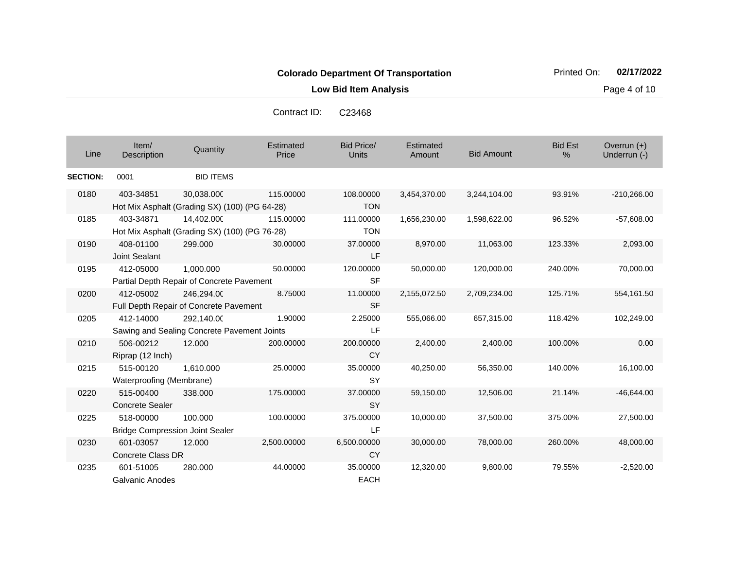**Low Bid Item Analysis Page 4 of 10** 

| Line            | Item/<br>Description                                | Quantity                                                    | Estimated<br>Price | <b>Bid Price/</b><br><b>Units</b> | Estimated<br>Amount | <b>Bid Amount</b> | <b>Bid Est</b><br>% | Overrun (+)<br>Underrun (-) |
|-----------------|-----------------------------------------------------|-------------------------------------------------------------|--------------------|-----------------------------------|---------------------|-------------------|---------------------|-----------------------------|
| <b>SECTION:</b> | 0001                                                | <b>BID ITEMS</b>                                            |                    |                                   |                     |                   |                     |                             |
| 0180            | 403-34851                                           | 30.038.000<br>Hot Mix Asphalt (Grading SX) (100) (PG 64-28) | 115.00000          | 108.00000<br><b>TON</b>           | 3,454,370.00        | 3,244,104.00      | 93.91%              | $-210,266.00$               |
| 0185            | 403-34871                                           | 14,402.000<br>Hot Mix Asphalt (Grading SX) (100) (PG 76-28) | 115.00000          | 111.00000<br><b>TON</b>           | 1,656,230.00        | 1,598,622.00      | 96.52%              | $-57,608.00$                |
| 0190            | 408-01100<br>Joint Sealant                          | 299,000                                                     | 30.00000           | 37.00000<br>LF                    | 8,970.00            | 11,063.00         | 123.33%             | 2,093.00                    |
| 0195            | 412-05000                                           | 1,000.000<br>Partial Depth Repair of Concrete Pavement      | 50.00000           | 120.00000<br><b>SF</b>            | 50,000.00           | 120,000.00        | 240.00%             | 70,000.00                   |
| 0200            | 412-05002                                           | 246,294.00<br>Full Depth Repair of Concrete Pavement        | 8.75000            | 11.00000<br><b>SF</b>             | 2,155,072.50        | 2,709,234.00      | 125.71%             | 554,161.50                  |
| 0205            | 412-14000                                           | 292,140.00<br>Sawing and Sealing Concrete Pavement Joints   | 1.90000            | 2.25000<br>LF.                    | 555,066.00          | 657,315.00        | 118.42%             | 102,249.00                  |
| 0210            | 506-00212<br>Riprap (12 Inch)                       | 12.000                                                      | 200.00000          | 200.00000<br><b>CY</b>            | 2,400.00            | 2,400.00          | 100.00%             | 0.00                        |
| 0215            | 515-00120<br>Waterproofing (Membrane)               | 1,610.000                                                   | 25.00000           | 35.00000<br><b>SY</b>             | 40,250.00           | 56,350.00         | 140.00%             | 16,100.00                   |
| 0220            | 515-00400<br><b>Concrete Sealer</b>                 | 338.000                                                     | 175.00000          | 37.00000<br><b>SY</b>             | 59,150.00           | 12,506.00         | 21.14%              | $-46,644.00$                |
| 0225            | 518-00000<br><b>Bridge Compression Joint Sealer</b> | 100.000                                                     | 100.00000          | 375.00000<br>LF.                  | 10,000.00           | 37,500.00         | 375.00%             | 27,500.00                   |
| 0230            | 601-03057<br><b>Concrete Class DR</b>               | 12.000                                                      | 2,500.00000        | 6,500.00000<br><b>CY</b>          | 30,000.00           | 78,000.00         | 260.00%             | 48,000.00                   |
| 0235            | 601-51005<br>Galvanic Anodes                        | 280.000                                                     | 44.00000           | 35.00000<br><b>EACH</b>           | 12,320.00           | 9,800.00          | 79.55%              | $-2,520.00$                 |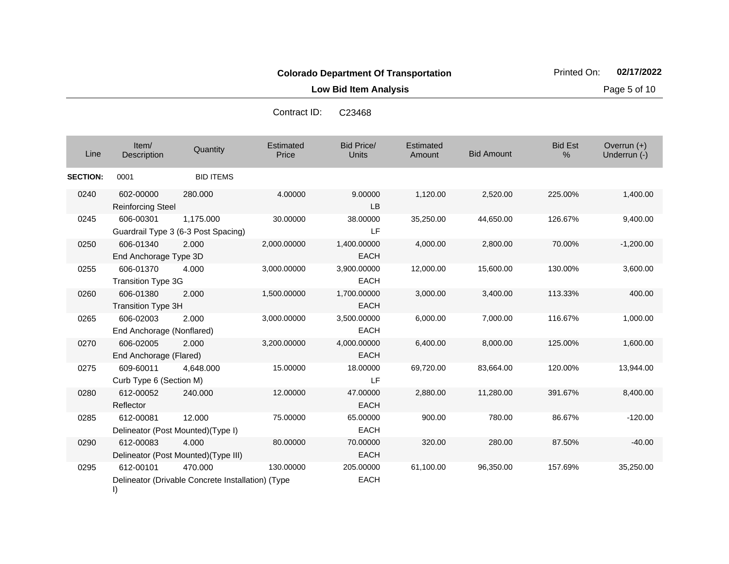**Low Bid Item Analysis Page 5 of 10** 

Bid Price/ Units **Amount** Bid Amount Overrun (+)<br>Underrun (-) الساحة المستحدة التي التي تعليم المستحدة التي تعليم التي التي يتم التي يتم التي التي التي تعليم التي التي التي<br>التي يتم التي يتم التي يتم التي يتم التي يتم التي يتم التي يتم التي يتم التي يتم التي يتم التي يتم التي يتم ال **Estimated Price** Estimated Amount Item/<br>Description Description Quantity Bid Est % **SECTION:** 0001 BID ITEMS 0240 602-00000 Reinforcing Steel 280.000 4.00000 9.00000 LB 1,120.00 2,520.00 225.00% 1,400.00 0245 606-00301 Guardrail Type 3 (6-3 Post Spacing) 1,175.000 30.00000 38.00000 LF 35,250.00 44,650.00 126.67% 9,400.00 0250 606-01340 End Anchorage Type 3D 2.000 2,000.00000 1,400.00000 EACH 4,000.00 2,800.00 70.00% -1,200.00 0255 606-01370 Transition Type 3G 4.000 3,000.00000 3,900.00000 EACH 12,000.00 15,600.00 130.00% 3,600.00 0260 606-01380 Transition Type 3H 2.000 1,500.00000 1,700.00000 **EACH** 3,000.00 3,400.00 113.33% 400.00 0265 606-02003 End Anchorage (Nonflared) 2.000 3,000.00000 3,500.00000 EACH 6,000.00 7,000.00 116.67% 1,000.00 0270 606-02005 End Anchorage (Flared) 2.000 3,200.00000 4,000.00000 EACH 6,400.00 8,000.00 125.00% 1,600.00 0275 609-60011 Curb Type 6 (Section M) 4,648.000 15.00000 18.00000 LF 69,720.00 83,664.00 120.00% 13,944.00 0280 612-00052 Reflector 240.000 12.00000 47.00000 EACH 2,880.00 11,280.00 391.67% 8,400.00 0285 612-00081 Delineator (Post Mounted)(Type I) 12.000 75.00000 65.00000 EACH 900.00 780.00 86.67% -120.00 0290 612-00083 Delineator (Post Mounted)(Type III) 4.000 80.00000 70.00000 EACH 320.00 280.00 87.50% -40.00 0295 612-00101 470.000 130.00000 205.00000 61,100.00 96,350.00 157.69% 35,250.00 Contract ID: C23468

EACH

- Delineator (Drivable Concrete Installation) (Type
- I)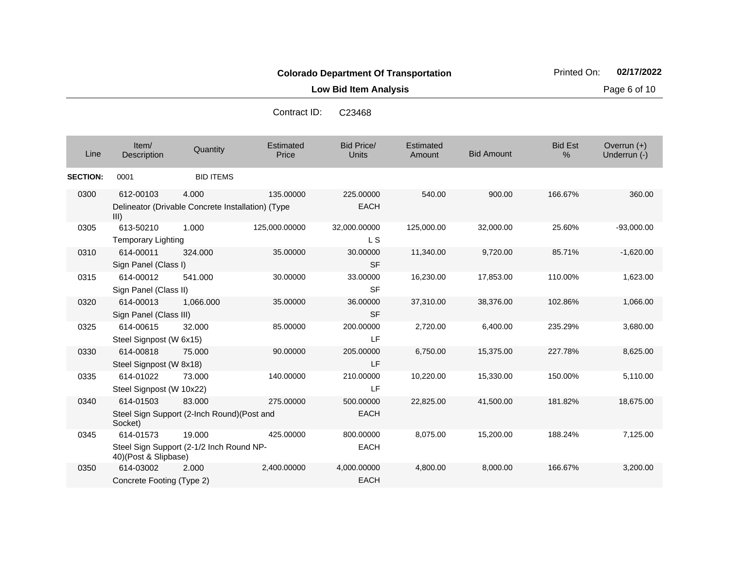**Low Bid Item Analysis Page 6 of 10** 

Contract ID: C23468

| Line            | Item/<br>Description                   | Quantity                                                   | Estimated<br>Price | <b>Bid Price/</b><br><b>Units</b> | Estimated<br>Amount | <b>Bid Amount</b> | <b>Bid Est</b><br>$\%$ | Overrun $(+)$<br>Underrun (-) |
|-----------------|----------------------------------------|------------------------------------------------------------|--------------------|-----------------------------------|---------------------|-------------------|------------------------|-------------------------------|
| <b>SECTION:</b> | 0001                                   | <b>BID ITEMS</b>                                           |                    |                                   |                     |                   |                        |                               |
| 0300            | 612-00103<br>III)                      | 4.000<br>Delineator (Drivable Concrete Installation) (Type | 135.00000          | 225.00000<br><b>EACH</b>          | 540.00              | 900.00            | 166.67%                | 360.00                        |
| 0305            | 613-50210<br><b>Temporary Lighting</b> | 1.000                                                      | 125,000.00000      | 32,000.00000<br>L S               | 125,000.00          | 32,000.00         | 25.60%                 | $-93,000.00$                  |
| 0310            | 614-00011<br>Sign Panel (Class I)      | 324.000                                                    | 35,00000           | 30.00000<br><b>SF</b>             | 11,340.00           | 9,720.00          | 85.71%                 | $-1,620.00$                   |
| 0315            | 614-00012<br>Sign Panel (Class II)     | 541.000                                                    | 30.00000           | 33.00000<br><b>SF</b>             | 16,230.00           | 17,853.00         | 110.00%                | 1,623.00                      |
| 0320            | 614-00013<br>Sign Panel (Class III)    | 1,066.000                                                  | 35.00000           | 36.00000<br><b>SF</b>             | 37,310.00           | 38,376.00         | 102.86%                | 1,066.00                      |
| 0325            | 614-00615<br>Steel Signpost (W 6x15)   | 32.000                                                     | 85.00000           | 200.00000<br>LF                   | 2,720.00            | 6,400.00          | 235.29%                | 3,680.00                      |
| 0330            | 614-00818<br>Steel Signpost (W 8x18)   | 75,000                                                     | 90.00000           | 205.00000<br>LF                   | 6,750.00            | 15,375.00         | 227.78%                | 8,625.00                      |
| 0335            | 614-01022<br>Steel Signpost (W 10x22)  | 73,000                                                     | 140.00000          | 210.00000<br>LF                   | 10,220.00           | 15,330.00         | 150.00%                | 5,110.00                      |
| 0340            | 614-01503<br>Socket)                   | 83,000<br>Steel Sign Support (2-Inch Round)(Post and       | 275.00000          | 500.00000<br><b>EACH</b>          | 22,825.00           | 41,500.00         | 181.82%                | 18,675.00                     |
| 0345            | 614-01573<br>40)(Post & Slipbase)      | 19.000<br>Steel Sign Support (2-1/2 Inch Round NP-         | 425.00000          | 800.00000<br><b>EACH</b>          | 8,075.00            | 15,200.00         | 188.24%                | 7,125.00                      |
| 0350            | 614-03002<br>Concrete Footing (Type 2) | 2.000                                                      | 2,400.00000        | 4,000.00000<br><b>EACH</b>        | 4,800.00            | 8,000.00          | 166.67%                | 3,200.00                      |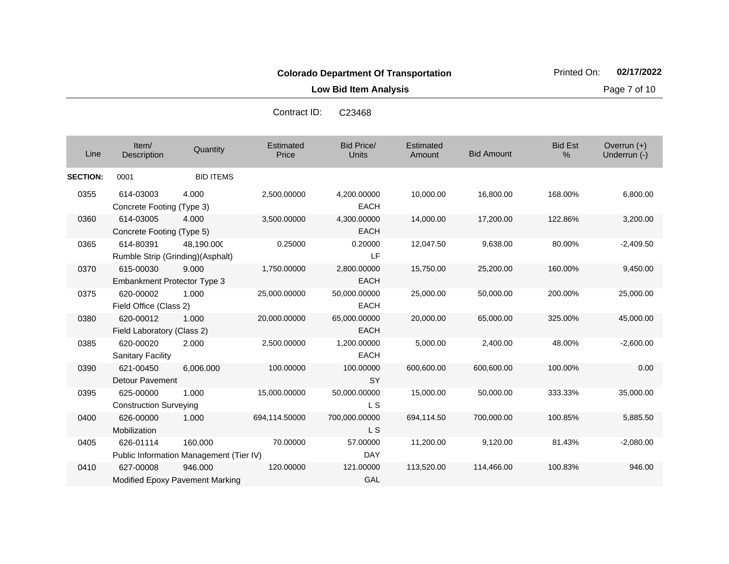**Low Bid Item Analysis Page 7 of 10** 

|                 |                                                 |                                                    | Contract ID:       | C <sub>23468</sub>          |                     |                   |                     |                             |
|-----------------|-------------------------------------------------|----------------------------------------------------|--------------------|-----------------------------|---------------------|-------------------|---------------------|-----------------------------|
| Line            | Item/<br>Description                            | Quantity                                           | Estimated<br>Price | Bid Price/<br><b>Units</b>  | Estimated<br>Amount | <b>Bid Amount</b> | <b>Bid Est</b><br>% | Overrun (+)<br>Underrun (-) |
| <b>SECTION:</b> | 0001                                            | <b>BID ITEMS</b>                                   |                    |                             |                     |                   |                     |                             |
| 0355            | 614-03003<br>Concrete Footing (Type 3)          | 4.000                                              | 2,500.00000        | 4,200.00000<br><b>EACH</b>  | 10,000.00           | 16,800.00         | 168.00%             | 6,800.00                    |
| 0360            | 614-03005<br>Concrete Footing (Type 5)          | 4.000                                              | 3,500.00000        | 4,300.00000<br><b>EACH</b>  | 14,000.00           | 17,200.00         | 122.86%             | 3,200.00                    |
| 0365            | 614-80391                                       | 48,190.000<br>Rumble Strip (Grinding)(Asphalt)     | 0.25000            | 0.20000<br>LF               | 12,047.50           | 9,638.00          | 80.00%              | $-2,409.50$                 |
| 0370            | 615-00030<br><b>Embankment Protector Type 3</b> | 9.000                                              | 1,750.00000        | 2,800.00000<br><b>EACH</b>  | 15,750.00           | 25,200.00         | 160.00%             | 9,450.00                    |
| 0375            | 620-00002<br>Field Office (Class 2)             | 1.000                                              | 25,000.00000       | 50,000.00000<br><b>EACH</b> | 25,000.00           | 50,000.00         | 200.00%             | 25,000.00                   |
| 0380            | 620-00012<br>Field Laboratory (Class 2)         | 1.000                                              | 20,000.00000       | 65,000.00000<br><b>EACH</b> | 20,000.00           | 65,000.00         | 325.00%             | 45,000.00                   |
| 0385            | 620-00020<br><b>Sanitary Facility</b>           | 2.000                                              | 2,500.00000        | 1,200.00000<br><b>EACH</b>  | 5,000.00            | 2,400.00          | 48.00%              | $-2,600.00$                 |
| 0390            | 621-00450<br><b>Detour Pavement</b>             | 6,006.000                                          | 100.00000          | 100.00000<br><b>SY</b>      | 600,600.00          | 600,600.00        | 100.00%             | 0.00                        |
| 0395            | 625-00000<br><b>Construction Surveying</b>      | 1.000                                              | 15,000.00000       | 50,000.00000<br>L S         | 15,000.00           | 50,000.00         | 333.33%             | 35,000.00                   |
| 0400            | 626-00000<br>Mobilization                       | 1.000                                              | 694,114.50000      | 700,000.00000<br>L S        | 694,114.50          | 700,000.00        | 100.85%             | 5,885.50                    |
| 0405            | 626-01114                                       | 160.000<br>Public Information Management (Tier IV) | 70.00000           | 57.00000<br><b>DAY</b>      | 11,200.00           | 9,120.00          | 81.43%              | $-2,080.00$                 |
| 0410            | 627-00008                                       | 946.000                                            | 120.00000          | 121.00000                   | 113,520.00          | 114.466.00        | 100.83%             | 946.00                      |

GAL

Modified Epoxy Pavement Marking

Contract ID: C23468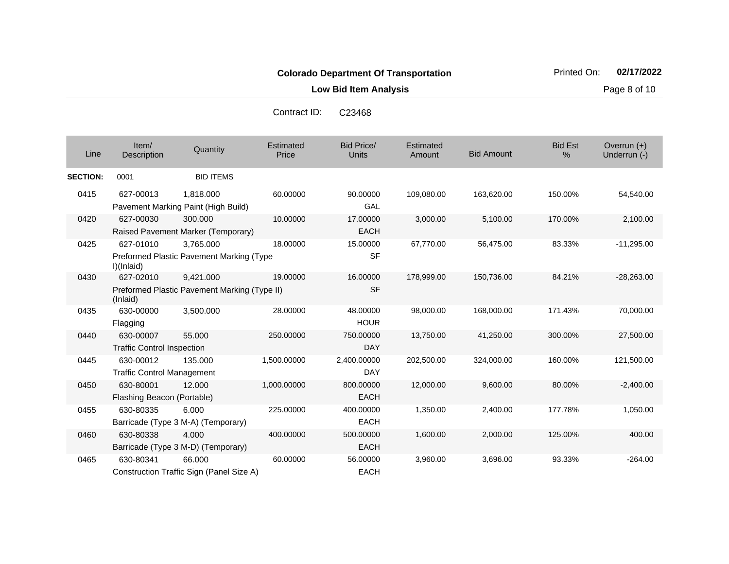**Low Bid Item Analysis Page 8 of 10** 

| Line            | Item/<br>Description                                     | Quantity                                         | <b>Estimated</b><br>Price | <b>Bid Price/</b><br><b>Units</b> | Estimated<br>Amount | <b>Bid Amount</b> | <b>Bid Est</b><br>% | Overrun $(+)$<br>Underrun (-) |
|-----------------|----------------------------------------------------------|--------------------------------------------------|---------------------------|-----------------------------------|---------------------|-------------------|---------------------|-------------------------------|
| <b>SECTION:</b> | 0001                                                     | <b>BID ITEMS</b>                                 |                           |                                   |                     |                   |                     |                               |
| 0415            | 627-00013                                                | 1,818.000<br>Pavement Marking Paint (High Build) | 60.00000                  | 90.00000<br>GAL                   | 109,080.00          | 163,620.00        | 150.00%             | 54,540.00                     |
| 0420            | 627-00030                                                | 300.000                                          | 10.00000                  | 17.00000                          | 3,000.00            | 5,100.00          | 170.00%             | 2,100.00                      |
|                 |                                                          | Raised Pavement Marker (Temporary)               |                           | <b>EACH</b>                       |                     |                   |                     |                               |
| 0425            | 627-01010                                                | 3.765.000                                        | 18.00000                  | 15.00000                          | 67,770.00           | 56,475.00         | 83.33%              | $-11,295.00$                  |
|                 | I)(Inlaid)                                               | Preformed Plastic Pavement Marking (Type         |                           | <b>SF</b>                         |                     |                   |                     |                               |
| 0430            | 627-02010                                                | 9,421.000                                        | 19.00000                  | 16.00000                          | 178,999.00          | 150,736.00        | 84.21%              | $-28,263.00$                  |
|                 | Preformed Plastic Pavement Marking (Type II)<br>(Inlaid) |                                                  |                           | <b>SF</b>                         |                     |                   |                     |                               |
| 0435            | 630-00000                                                | 3,500.000                                        | 28.00000                  | 48.00000                          | 98,000.00           | 168,000.00        | 171.43%             | 70,000.00                     |
|                 | Flagging                                                 |                                                  |                           | <b>HOUR</b>                       |                     |                   |                     |                               |
| 0440            | 630-00007                                                | 55,000                                           | 250.00000                 | 750.00000                         | 13,750.00           | 41,250.00         | 300.00%             | 27,500.00                     |
|                 | <b>Traffic Control Inspection</b>                        |                                                  |                           | <b>DAY</b>                        |                     |                   |                     |                               |
| 0445            | 630-00012                                                | 135.000                                          | 1,500.00000               | 2,400.00000                       | 202,500.00          | 324,000.00        | 160.00%             | 121,500.00                    |
|                 | <b>Traffic Control Management</b>                        |                                                  |                           | <b>DAY</b>                        |                     |                   |                     |                               |
| 0450            | 630-80001                                                | 12,000                                           | 1,000.00000               | 800.00000                         | 12,000.00           | 9,600.00          | 80.00%              | $-2,400.00$                   |
|                 | Flashing Beacon (Portable)                               |                                                  |                           | <b>EACH</b>                       |                     |                   |                     |                               |
| 0455            | 630-80335                                                | 6.000                                            | 225.00000                 | 400.00000                         | 1,350.00            | 2,400.00          | 177.78%             | 1,050.00                      |
|                 | Barricade (Type 3 M-A) (Temporary)                       |                                                  |                           | <b>EACH</b>                       |                     |                   |                     |                               |
| 0460            | 630-80338                                                | 4.000                                            | 400.00000                 | 500.00000                         | 1,600.00            | 2,000.00          | 125.00%             | 400.00                        |
|                 | Barricade (Type 3 M-D) (Temporary)                       |                                                  |                           | <b>EACH</b>                       |                     |                   |                     |                               |
| 0465            | 630-80341                                                | 66,000                                           | 60.00000                  | 56.00000                          | 3,960.00            | 3,696.00          | 93.33%              | $-264.00$                     |
|                 | Construction Traffic Sign (Panel Size A)                 |                                                  |                           | <b>EACH</b>                       |                     |                   |                     |                               |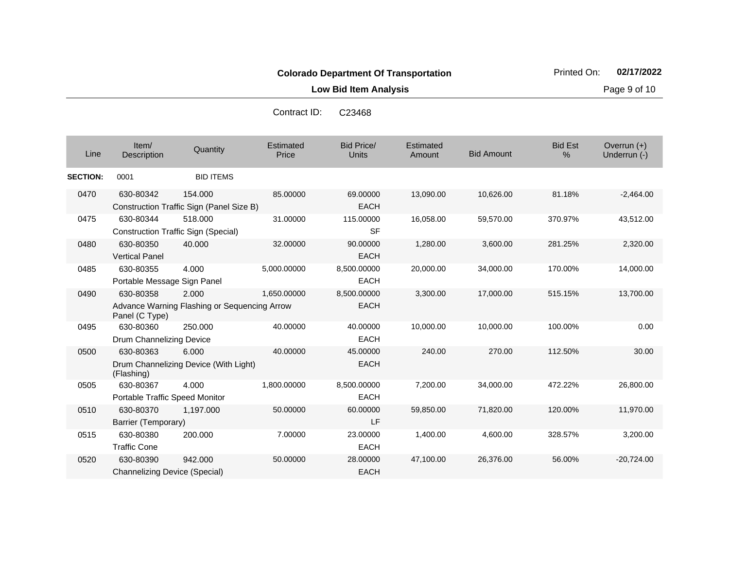47,100.00 26,376.00 56.00% -20,724.00

**Low Bid Item Analysis Page 9 of 10** 

Bid Price/ Units **Amount** Bid Amount Overrun (+)<br>Underrun (-) الساحة المستحدة التي التي تعليم المستحدة التي تعليم التي التي يتم التي يتم التي التي التي تعليم التي التي التي<br>التي يتم التي يتم التي يتم التي يتم التي يتم التي يتم التي يتم التي يتم التي يتم التي يتم التي يتم التي يتم ال **Estimated Price Estimated** Amount Item/ Description Quantity Bid Est % **SECTION:** 0001 BID ITEMS 0470 630-80342 Construction Traffic Sign (Panel Size B) 154.000 85.00000 69.00000 EACH 13,090.00 10,626.00 81.18% -2,464.00 0475 630-80344 Construction Traffic Sign (Special) 518.000 31.00000 115.00000 SF 16,058.00 59,570.00 370.97% 43,512.00 0480 630-80350 Vertical Panel 40.000 32.00000 90.00000 EACH 1,280.00 3,600.00 281.25% 2,320.00 0485 630-80355 Portable Message Sign Panel 4.000 5,000.00000 8,500.00000 EACH 20,000.00 34,000.00 170.00% 14,000.00 0490 630-80358 Advance Warning Flashing or Sequencing Arrow Panel (C Type) 2.000 1,650.00000 8,500.00000 EACH 3,300.00 17,000.00 515.15% 13,700.00 0495 630-80360 Drum Channelizing Device 250.000 40.00000 40.00000 EACH 10,000.00 10,000.00 100.00% 0.00 0500 630-80363 Drum Channelizing Device (With Light) (Flashing) 6.000 40.00000 45.00000 EACH 240.00 270.00 112.50% 30.00 0505 630-80367 Portable Traffic Speed Monitor 4.000 1,800.00000 8,500.00000 EACH 7,200.00 34,000.00 472.22% 26,800.00 0510 630-80370 Barrier (Temporary) 1,197.000 50.00000 60.00000 LF 59,850.00 71,820.00 120.00% 11,970.00 0515 630-80380 200.000 7.00000 23.00000 1,400.00 4,600.00 328.57% 3,200.00 Contract ID: C23468

EACH

EACH

942.000 50.00000 28.00000

Traffic Cone

Channelizing Device (Special)

0520 630-80390